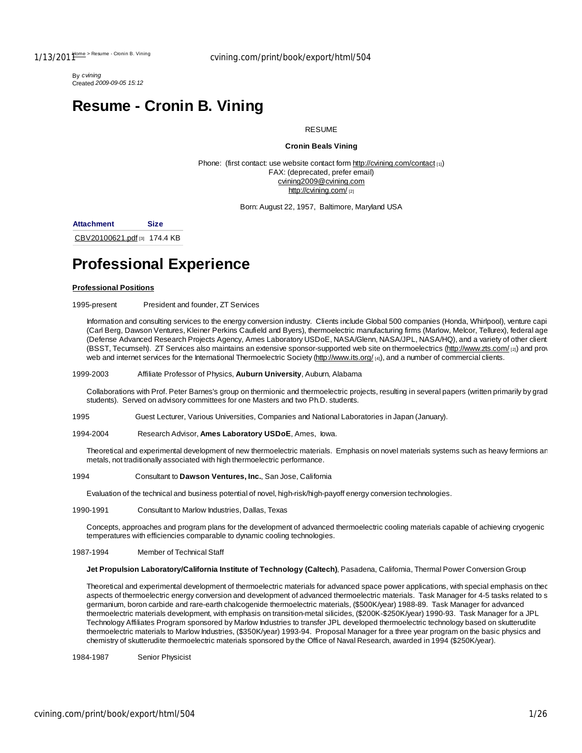By *cvining* Created *2009-09-05 15:12*

# **Resume - Cronin B. Vining**

#### **RESUME**

### **Cronin Beals Vining**

Phone: (first contact: use website contact form http://cvining.com/contact [1]) FAX: (deprecated, prefer email) cvining2009@cvining.com http://cvining.com/ [2]

Born: August 22, 1957, Baltimore, Maryland USA

**Attachment Size**

CBV20100621.pdf [3] 174.4 KB

# **Professional Experience**

#### **Professional Positions**

1995-present President and founder, ZT Services

Information and consulting services to the energy conversion industry. Clients include Global 500 companies (Honda, Whirlpool), venture capitalistics (Carl Berg, Dawson Ventures, Kleiner Perkins Caufield and Byers), thermoelectric manufacturing firms (Marlow, Melcor, Tellurex), federal age (Defense Advanced Research Projects Agency, Ames Laboratory USDoE, NASA/Glenn, NASA/JPL, NASA/HQ), and a variety of other clients (BSST, Tecumseh). ZT Services also maintains an extensive sponsor-supported web site on thermoelectrics (http://www.zts.com/ [2]) and prov web and internet services for the International Thermoelectric Society (http://www.its.org/ [4]), and a number of commercial clients.

#### 1999-2003 Affiliate Professor of Physics, **Auburn University**, Auburn, Alabama

Collaborations with Prof. Peter Barnes's group on thermionic and thermoelectric projects, resulting in several papers (written primarily by grad students). Served on advisory committees for one Masters and two Ph.D. students.

1995 Guest Lecturer, Various Universities, Companies and National Laboratories in Japan (January).

1994-2004 Research Advisor, **Ames Laboratory USDoE**, Ames, Iowa.

Theoretical and experimental development of new thermoelectric materials. Emphasis on novel materials systems such as heavy fermions an metals, not traditionally associated with high thermoelectric performance.

#### 1994 Consultant to **Dawson Ventures, Inc.**, San Jose, California

Evaluation of the technical and business potential of novel, high-risk/high-payoff energy conversion technologies.

1990-1991 Consultant to Marlow Industries, Dallas, Texas

Concepts, approaches and program plans for the development of advanced thermoelectric cooling materials capable of achieving cryogenic temperatures with efficiencies comparable to dynamic cooling technologies.

1987-1994 Member of Technical Staff

#### **Jet Propulsion Laboratory/California Institute of Technology (Caltech)**, Pasadena, California, Thermal Power Conversion Group

Theoretical and experimental development of thermoelectric materials for advanced space power applications, with special emphasis on theoretical aspects of thermoelectric energy conversion and development of advanced thermoelectric materials. Task Manager for 4-5 tasks related to s germanium, boron carbide and rare-earth chalcogenide thermoelectric materials, (\$500K/year) 1988-89. Task Manager for advanced thermoelectric materials development, with emphasis on transition-metal silicides, (\$200K-\$250K/year) 1990-93. Task Manager for a JPL Technology Affiliates Program sponsored by Marlow Industries to transfer JPL developed thermoelectric technology based on skutterudite thermoelectric materials to Marlow Industries, (\$350K/year) 1993-94. Proposal Manager for a three year program on the basic physics and chemistry of skutterudite thermoelectric materials sponsored by the Office of Naval Research, awarded in 1994 (\$250K/year).

1984-1987 Senior Physicist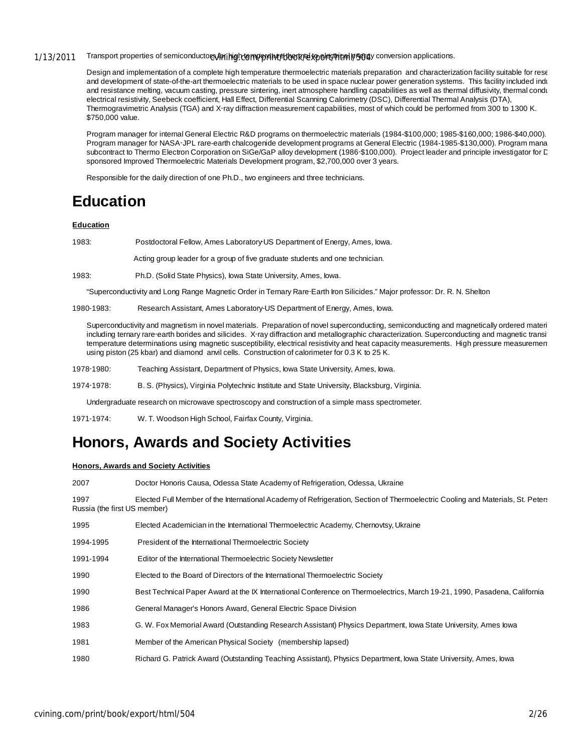## 1/13/2011 Transport properties of semiconductors/mininghdermy pretty that we know the response conversion applications.

Design and implementation of a complete high temperature thermoelectric materials preparation and characterization facility suitable for rese and development of state-of-the-art thermoelectric materials to be used in space nuclear power generation systems. This facility included indu and resistance melting, vacuum casting, pressure sintering, inert atmosphere handling capabilities as well as thermal diffusivity, thermal condu electrical resistivity, Seebeck coefficient, Hall Effect, Differential Scanning Calorimetry (DSC), Differential Thermal Analysis (DTA), Thermogravimetric Analysis (TGA) and X‑ray diffraction measurement capabilities, most of which could be performed from 300 to 1300 K. \$750,000 value.

Program manager for internal General Electric R&D programs on thermoelectric materials (1984-\$100,000; 1985-\$160,000; 1986-\$40,000). Program manager for NASA-JPL rare-earth chalcogenide development programs at General Electric (1984-1985-\$130,000). Program mana subcontract to Thermo Electron Corporation on SiGe/GaP alloy development (1986-\$100,000). Project leader and principle investigator for C sponsored Improved Thermoelectric Materials Development program, \$2,700,000 over 3 years.

Responsible for the daily direction of one Ph.D., two engineers and three technicians.

# **Education**

#### **Education**

1983: Postdoctoral Fellow, Ames Laboratory US Department of Energy, Ames, Iowa.

Acting group leader for a group of five graduate students and one technician.

1983: Ph.D. (Solid State Physics), Iowa State University, Ames, Iowa.

"Superconductivity and Long Range Magnetic Order in Ternary Rare‑Earth Iron Silicides." Major professor: Dr. R. N. Shelton

#### 1980‐1983: Research Assistant, Ames Laboratory‐US Department of Energy, Ames, Iowa.

Superconductivity and magnetism in novel materials. Preparation of novel superconducting, semiconducting and magnetically ordered materi including ternary rare‑earth borides and silicides. X-ray diffraction and metallographic characterization. Superconducting and magnetic transition. temperature determinations using magnetic susceptibility, electrical resistivity and heat capacity measurements. High pressure measurements using piston (25 kbar) and diamond anvil cells. Construction of calorimeter for 0.3 K to 25 K.

- 1978‑1980: Teaching Assistant, Department of Physics, Iowa State University, Ames, Iowa.
- 1974‑1978: B. S. (Physics), Virginia Polytechnic Institute and State University, Blacksburg, Virginia.

Undergraduate research on microwave spectroscopy and construction of a simple mass spectrometer.

1971‑1974: W. T. Woodson High School, Fairfax County, Virginia.

# **Honors, Awards and Society Activities**

### **Honors, Awards and Society Activities**

| 2007                                                                                                                                                                   | Doctor Honoris Causa, Odessa State Academy of Refrigeration, Odessa, Ukraine                                              |
|------------------------------------------------------------------------------------------------------------------------------------------------------------------------|---------------------------------------------------------------------------------------------------------------------------|
| 1997<br>Elected Full Member of the International Academy of Refrigeration, Section of Thermoelectric Cooling and Materials, St. Peters<br>Russia (the first US member) |                                                                                                                           |
| 1995                                                                                                                                                                   | Elected Academician in the International Thermoelectric Academy, Chernovtsy, Ukraine                                      |
| 1994-1995                                                                                                                                                              | President of the International Thermoelectric Society                                                                     |
| 1991-1994                                                                                                                                                              | Editor of the International Thermoelectric Society Newsletter                                                             |
| 1990                                                                                                                                                                   | Elected to the Board of Directors of the International Thermoelectric Society                                             |
| 1990                                                                                                                                                                   | Best Technical Paper Award at the IX International Conference on Thermoelectrics, March 19-21, 1990, Pasadena, California |
| 1986                                                                                                                                                                   | General Manager's Honors Award, General Electric Space Division                                                           |
| 1983                                                                                                                                                                   | G. W. Fox Memorial Award (Outstanding Research Assistant) Physics Department, lowa State University, Ames lowa            |
| 1981                                                                                                                                                                   | Member of the American Physical Society (membership lapsed)                                                               |
| 1980                                                                                                                                                                   | Richard G. Patrick Award (Outstanding Teaching Assistant), Physics Department, Iowa State University, Ames, Iowa          |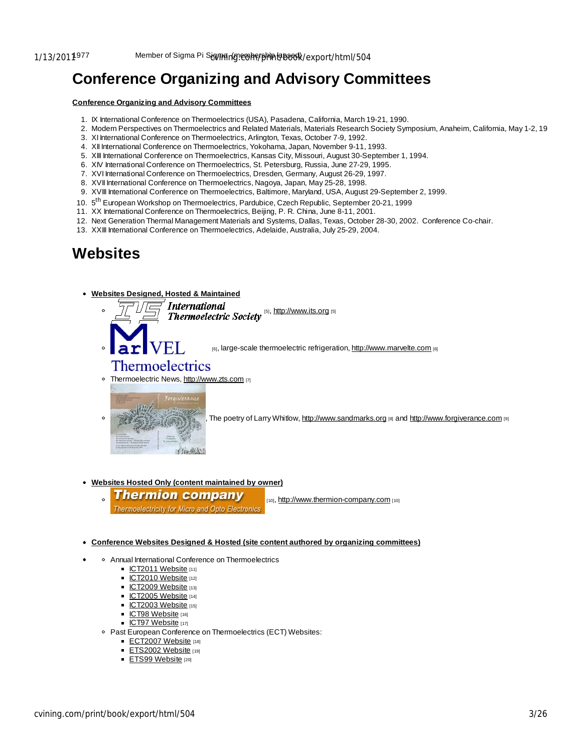# **Conference Organizing and Advisory Committees**

#### **Conference Organizing and Advisory Committees**

- 1. IX International Conference on Thermoelectrics (USA), Pasadena, California, March 19-21, 1990.
- 2. Modern Perspectives on Thermoelectrics and Related Materials, Materials Research Society Symposium, Anaheim, California, May 1-2, 1991.
- 3. XI International Conference on Thermoelectrics, Arlington, Texas, October 7-9, 1992.
- 4. XII International Conference on Thermoelectrics, Yokohama, Japan, November 9-11, 1993.
- 5. XIII International Conference on Thermoelectrics, Kansas City, Missouri, August 30-September 1, 1994.
- 6. XIV International Conference on Thermoelectrics, St. Petersburg, Russia, June 27-29, 1995.
- 7. XVI International Conference on Thermoelectrics, Dresden, Germany, August 26-29, 1997.
- 8. XVII International Conference on Thermoelectrics, Nagoya, Japan, May 25-28, 1998.
- 9. XVIII International Conference on Thermoelectrics, Baltimore, Maryland, USA, August 29-September 2, 1999.
- 10. 5<sup>th</sup> European Workshop on Thermoelectrics, Pardubice, Czech Republic, September 20-21, 1999
- 11. XX International Conference on Thermoelectrics, Beijing, P. R. China, June 8-11, 2001.
- 12. Next Generation Thermal Management Materials and Systems, Dallas, Texas, October 28-30, 2002. Conference Co-chair.
- 13. XXIII International Conference on Thermoelectrics, Adelaide, Australia, July 25-29, 2004.

# **Websites**

#### **Websites Designed, Hosted & Maintained**

Thermoelectric Society [5], http://www.its.org [5] **International** 

[6], large-scale thermoelectric refrigeration, http://www.marvelte.com [6]

# **Thermoelectrics**

o Thermoelectric News, http://www.zts.com [7]



The poetry of Larry Whitlow, http://www.sandmarks.org [8] and http://www.forgiverance.com [9]

### **Websites Hosted Only (content maintained by owner)**

**Thermion company** Thermoelectricity for Micro and Opto Electronic.

[10], http://www.thermion-company.com [10]

#### **Conference Websites Designed & Hosted (site content authored by organizing committees)**

- Annual International Conference on Thermoelectrics
	- ICT2011 Website [11]
	- $ICT2010$  Website [12]
	- ICT2009 Website [13]
	- $\overline{\phantom{1}}$ ICT2005 Website [14]
	- $\blacksquare$  ICT2003 Website [15]
	- ICT98 Website [16]
	- $\overline{IC}$ T97 Website [17]
	- Past European Conference on Thermoelectrics (ECT) Websites:
		- ECT2007 Website [18]
		- $ETS2002$  Website [19]
		- ETS99 Website [20]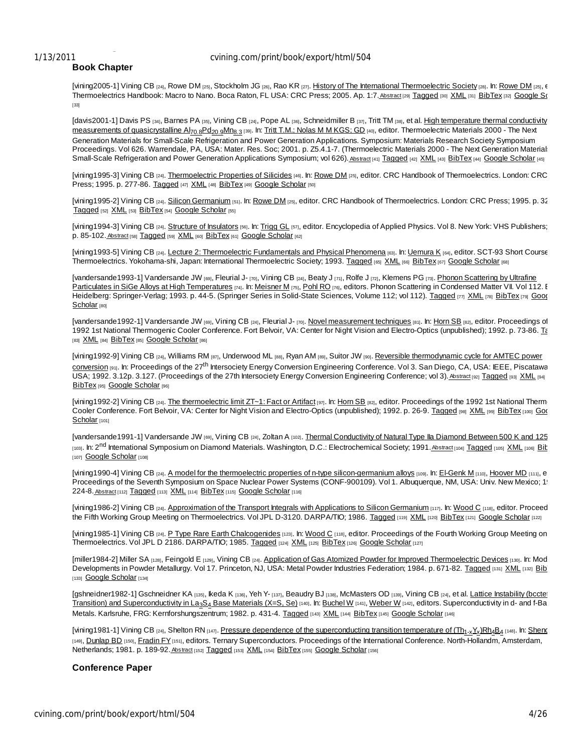## 1/13/2011 cvining.com/print/book/export/html/504

# **Book Chapter**

[vining2005-1] Vining CB [24], Rowe DM [25], Stockholm JG [26], Rao KR [27]. History of The International Thermoelectric Society [28]. In: Rowe DM [25],  $\epsilon$ Thermoelectrics Handbook: Macro to Nano. Boca Raton, FL USA: CRC Press; 2005. Ap. 1:7. Abstract [29] Tagged [30] XML [31] BibTex [32] Google Sc [33]

[davis2001-1] Davis PS [34], Barnes PA [35], Vining CB [24], Pope AL [36], Schneidmiller B [37], Tritt TM [38], et al. High temperature thermal conductivity measurements of quasicrystalline Al<sub>70.8</sub>Pd<sub>20.9</sub>Mn<sub>8.3</sub> [39]. In: Tritt T.M.; Nolas M M KGS; GD [40], editor. Thermoelectric Materials 2000 - The Next Generation Materials for Small-Scale Refrigeration and Power Generation Applications. Symposium: Materials Research Society Symposium Proceedings. Vol 626. Warrendale, PA, USA: Mater. Res. Soc; 2001. p. Z5.4.1-7. (Thermoelectric Materials 2000 - The Next Generation Material: Small-Scale Refrigeration and Power Generation Applications Symposium; vol 626). Abstract [41] Tagged [42] XML [43] BibTex [44] Google Scholar [45]

[vining1995-3] Vining CB [24]. Thermoelectric Properties of Silicides [46]. In: Rowe DM [25], editor. CRC Handbook of Thermoelectrics. London: CRC Press; 1995. p. 277-86. Tagged [47] XML [48] BibTex [49] Google Scholar [50]

[vining1995-2] Vining CB [24]. Silicon Germanium [51]. In: Rowe DM [25], editor. CRC Handbook of Thermoelectrics. London: CRC Press; 1995. p. 32 Tagged [52] XML [53] BibTex [54] Google Scholar [55]

[vining1994-3] Vining CB [24]. Structure of Insulators [56]. In: Trigg GL [57], editor. Encyclopedia of Applied Physics. Vol 8. New York: VHS Publishers; p. 85-102. Abstract [58] Tagged [59] XML [60] BibTex [61] Google Scholar [62]

[vining1993-5] Vining CB [24]. Lecture 2: Thermoelectric Fundamentals and Physical Phenomena [63]. In: Lemura K [64], editor. SCT-93 Short Course Thermoelectrics. Yokohama-shi, Japan: International Thermoelectric Society; 1993. Tagged [65] XML [66] BibTex [67] Google Scholar [68]

[vandersande1993-1] Vandersande JW [69], Fleurial J- [70], Vining CB [24], Beaty J [71], Rolfe J [72], Klemens PG [73]. Phonon Scattering by Ultrafine Particulates in SiGe Alloys at High Temperatures [74]. In: Meisner M [75], Pohl RO [76], editors. Phonon Scattering in Condensed Matter VII. Vol 112. E Heidelberg: Springer-Verlag; 1993. p. 44-5. (Springer Series in Solid-State Sciences, Volume 112; vol 112). Tagged [77] XML [78] BibTex [79] Goog Scholar [80]

[vandersande1992-1] Vandersande JW [69], Vining CB [24], Fleurial J- [70]. Novel measurement techniques [81]. In: Horn SB [82], editor. Proceedings of 1992 1st National Thermogenic Cooler Conference. Fort Belvoir, VA: Center for Night Vision and Electro-Optics (unpublished); 1992. p. 73-86. To [83] XML [84] BibTex [85] Google Scholar [86]

[vining1992-9] Vining CB [24], Williams RM [87], Underwood ML [88], Ryan AM [89], Suitor JW [90]. Reversible thermodynamic cycle for AMTEC power **conversion [91].** In: Proceedings of the 27<sup>th</sup> Intersociety Energy Conversion Engineering Conference. Vol 3. San Diego, CA, USA: IEEE, Piscatawa USA; 1992. 3.12p. 3.127. (Proceedings of the 27th Intersociety Energy Conversion Engineering Conference; vol 3). Abstract [92] Tagged [93] XML [94] BibTex [95] Google Scholar [96]

[vining1992-2] Vining CB [24]. The thermoelectric limit ZT~1: Fact or Artifact [97]. In: Horn SB [82], editor. Proceedings of the 1992 1st National Thermogenes Cooler Conference. Fort Belvoir, VA: Center for Night Vision and Electro-Optics (unpublished); 1992. p. 26-9. Tagged [98] XML [99] BibTex [100] Goo Scholar [101]

[vandersande1991-1] Vandersande JW [69], Vining CB [24], Zoltan A [102]. Thermal Conductivity of Natural Type IIa Diamond Between 500 K and 125 [103]. In: 2<sup>nd</sup> International Symposium on Diamond Materials. Washington, D.C.: Electrochemical Society; 1991. Abstract [104] Tagged [105] XML [106] Bit [107] Google Scholar [108]

[vining1990-4] Vining CB [24]. A model for the thermoelectric properties of n-type silicon-germanium alloys [109]. In: El-Genk M [110], Hoover MD [111], e Proceedings of the Seventh Symposium on Space Nuclear Power Systems (CONF-900109). Vol 1. Albuquerque, NM, USA: Univ. New Mexico; 1! 224-8. Abstract [112] Tagged [113] XML [114] BibTex [115] Google Scholar [116]

[vining1986-2] Vining CB [24]. Approximation of the Transport Integrals with Applications to Silicon Germanium [117]. In: Wood C [118], editor. Proceed the Fifth Working Group Meeting on Thermoelectrics. Vol JPL D-3120. DARPA/TIO; 1986. Tagged [119] XML [120] BibTex [121] Google Scholar [122]

[vining1985-1] Vining CB [24]. P Type Rare Earth Chalcogenides [123]. In: Wood C [118], editor. Proceedings of the Fourth Working Group Meeting on Thermoelectrics. Vol JPL D 2186. DARPA/TIO; 1985. Tagged [124] XML [125] BibTex [126] Google Scholar [127]

[miller1984-2] Miller SA [128], Feingold E [129], Vining CB [24]. Application of Gas Atomized Powder for Improved Thermoelectric Devices [130]. In: Mod Developments in Powder Metallurgy. Vol 17. Princeton, NJ, USA: Metal Powder Industries Federation; 1984. p. 671-82. Tagged [131] XML [132] Bib [133] Google Scholar [134]

[gshneidner1982-1] Gschneidner KA [135], Ikeda K [136], Yeh Y- [137], Beaudry BJ [138], McMasters OD [139], Vining CB [24], et al. Lattice Instability (bccte! Transition) and Superconductivity in La<sub>3</sub>S<sub>4</sub> Base Materials (X=S, Se) [140]. In: Buchel W [141], Weber W [142], editors. Superconductivity in d- and f-Band Metals. Karlsruhe, FRG: Kernforshungszentrum; 1982. p. 431-4. Tagged [143] XML [144] BibTex [145] Google Scholar [146]

[vining1981-1] Vining CB [24], Shelton RN [147]. <u>Pressure dependence of the superconducting transition temperature of (Th<sub>1-x</sub>Y<sub>x</sub>)Rh<sub>4</sub>B<sub>4</sub> [148]. In: <u>Sheno</u></u> [149], Dunlap BD [150], Fradin FY [151], editors. Ternary Superconductors. Proceedings of the International Conference. North-Hollandm, Amsterdam, Netherlands; 1981. p. 189-92. Abstract [152] Tagged [153] XML [154] BibTex [155] Google Scholar [156]

## **Conference Paper**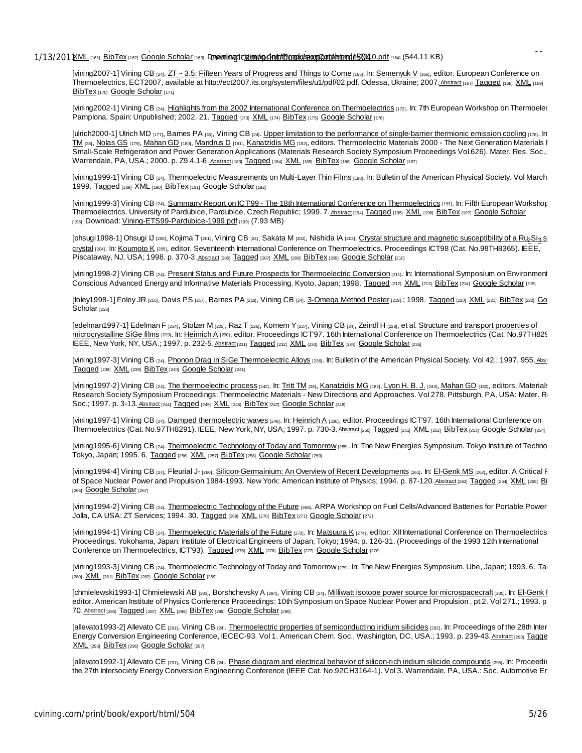### 1/13/2011 KML [161] BibTex [162] Google Scholar [163] Download: Libiming heint Fronklikes moont from the Standing (544.11 KB)

[vining2007-1] Vining CB [24]. ZT ~ 3.5: Fifteen Years of Progress and Things to Come [165]. In: Semenyuk V [166], editor. European Conference on Thermoelectrics, ECT2007, available at http://ect2007.its.org/system/files/u1/pdf/02.pdf. Odessa, Ukraine; 2007. Abstract [167] Tagged [168] XML [169] BibTex [170] Google Scholar [171]

Generator (GPHS-RTG) . In: 46th AIAA/ASME/SAE/ASEE Joint Propulsion Conference & Exhibit. Nashville, TN: AIAA; 2010. Tagged

[vining2002-1] Vining CB [24]. Highlights from the 2002 International Conference on Thermoelectrics [172]. In: 7th European Workshop on Thermoelec Pamplona, Spain: Unpublished; 2002. 21. Tagged [173] XML [174] BibTex [175] Google Scholar [176]

[ulrich2000-1] Ulrich MD [177], Barnes PA [35], Vining CB [24]. Upper limitation to the performance of single-barrier thermionic emission cooling [178]. In TM [38], Nolas GS [179], Mahan GD [180], Mandrus D [181], Kanatzidis MG [182], editors. Thermoelectric Materials 2000 - The Next Generation Materials f Small-Scale Refrigeration and Power Generation Applications (Materials Research Society Symposium Proceedings Vol.626). Mater. Res. Soc., Warrendale, PA, USA.; 2000. p. Z9.4.1-6. Abstract [183] Tagged [184] XML [185] BibTex [186] Google Scholar [187]

[vining1999-1] Vining CB [24]. Thermoelectric Measurements on Multi-Layer Thin Films [188]. In: Bulletin of the American Physical Society. Vol March 1999. Tagged [189] XML [190] BibTex [191] Google Scholar [192]

[vining1999-3] Vining CB [24]. Summarry Report on ICT99 - The 18th International Conference on Thermoelectrics [193]. In: Fifth European Workshop Thermoelectrics. University of Pardubice, Pardubice, Czech Republic; 1999. 7. Abstract [194] Tagged [195] XML [196] BibTex [197] Google Scholar [198] Download: Vining-ETS99-Pardubice-1999.pdf [199] (7.93 MB)

[ohsugi1998-1] Ohsugi U [200], Kojima T [201], Vining CB [24], Sakata M [202], Nishida IA [203]. Crystal structure and magnetic susceptibility of a Ru2Si3 s crystal [204]. In: Koumoto K [205], editor. Seventeenth International Conference on Thermoelectrics. Proceedings ICT98 (Cat. No.98TH8365). IEEE, Piscataway, NJ, USA; 1998. p. 370-3. Abstract [206] Tagged [207] XML [208] BibTex [209] Google Scholar [210]

[vining1998-2] Vining CB [24]. Present Status and Future Prospects for Thermoelectric Conversion [211]. In: International Symposium on Environment Conscious Advanced Energy and Informative Materials Processing. Kyoto, Japan; 1998. Tagged [212] XML [213] BibTex [214] Google Scholar [215]

[foley1998-1] Foley JR [216], Davis PS [217], Barnes PA [218], Vining CB [24]. 3-Omega Method Poster [219].; 1998. Tagged [220] XML [221] BibTex [222] Go Scholar [223]

[edelman1997-1] Edelman F [224], Stolzer M [225], Raz T [226], Komem Y [227], Vining CB [24], Zeindl H [228], et al. Structure and transport properties of microcrystalline SiGe films [229]. In: Heinrich A [230], editor. Proceedings ICT'97. 16th International Conference on Thermoelectrics (Cat. No.97TH829). IEEE, New York, NY, USA.; 1997. p. 232-5. Abstract [231] Tagged [232] XML [233] BibTex [234] Google Scholar [235]

[vining1997-3] Vining CB [24]. Phonon Drag in SiGe Thermoelectric Alloys [236]. In: Bulletin of the American Physical Society. Vol 42.; 1997. 955. Abstract Tagged [238] XML [239] BibTex [240] Google Scholar [241]

[vining1997-2] Vining CB [24]. The thermoelectric process [242]. In: Tritt TM [38], Kanatzidis MG [182], Lyon H. B. J. [243], Mahan GD [180], editors. Materials Research Society Symposium Proceedings: Thermoelectric Materials - New Directions and Approaches. Vol 278. Pittsburgh, PA, USA: Mater. Re Soc.; 1997. p. 3-13. Abstract [244] Tagged [245] XML [246] BibTex [247] Google Scholar [248]

[vining1997-1] Vining CB [24]. Damped thermoelectric waves [249]. In: Heinrich A [230], editor. Proceedings ICT'97. 16th International Conference on Thermoelectrics (Cat. No.97TH8291). IEEE, New York, NY, USA; 1997. p. 730-3. Abstract [250] Tagged [251] XML [252] BibTex [253] Google Scholar [254]

[vining1995-6] Vining CB [24]. Thermoelectric Technology of Today and Tomorrow [255]. In: The New Energies Symposium. Tokyo Institute of Techno Tokyo, Japan; 1995. 6. Tagged [256] XML [257] BibTex [258] Google Scholar [259]

[vining1994-4] Vining CB [24], Fleurial J- [260]. Silicon-Germainium: An Overview of Recent Developments [261]. In: El-Genk MS [262], editor. A Critical F of Space Nuclear Power and Propulsion 1984-1993. New York: American Institute of Physics; 1994. p. 87-120. Abstract [263] Tagged [264] XML [265] Bi [266] Google Scholar [267]

[vining1994-2] Vining CB [24]. Thermoelectric Technology of the Future [268]. ARPA Workshop on Fuel Cells/Advanced Batteries for Portable Power Jolla, CA USA: ZT Services; 1994. 30. Tagged [269] XML [270] BibTex [271] Google Scholar [272]

[vining1994-1] Vining CB [24]. Thermoelectric Materials of the Future [273]. In: Matsuura K [274], editor. XII International Conference on Thermoelectrics Proceedings. Yokohama, Japan: Institute of Electrical Engineers of Japan, Tokyo; 1994. p. 126-31. (Proceedings of the 1993 12th International Conference on Thermoelectrics, ICT'93). Tagged [275] XML [276] BibTex [277] Google Scholar [278]

[vining1993-3] Vining CB [24]. Thermoelectric Technology of Today and Tomorrow [279]. In: The New Energies Symposium. Ube, Japan; 1993. 6. Ta [280] XML [281] BibTex [282] Google Scholar [259]

[chmielewski1993-1] Chmielewski AB [283], Borshchevsky A [284], Vining CB [24]. Milliwatt isotope power source for microspacecraft [286]. In: El-Genk | editor. American Institute of Physics Conference Proceedings: 10th Symposium on Space Nuclear Power and Propulsion, pt.2. Vol 271.; 1993. p. 70. Abstract [286] Tagged [287] XML [288] BibTex [289] Google Scholar [290]

[allevato1993-2] Allevato CE [291], Vining CB [24]. Thermoelectric properties of semiconducting iridium silicides [292]. In: Proceedings of the 28th Inter Energy Conversion Engineering Conference, IECEC-93. Vol 1. American Chem. Soc., Washington, DC, USA.; 1993. p. 239-43. Abstract [293] Tagge XML [295] BibTex [296] Google Scholar [297]

[allevato1992-1] Allevato CE [291], Vining CB [24]. Phase diagram and electrical behavior of silicon-rich iridium silicide compounds [298]. In: Proceedir the 27th Intersociety Energy Conversion Engineering Conference (IEEE Cat. No.92CH3164-1). Vol 3. Warrendale, PA, USA.: Soc. Automotive Er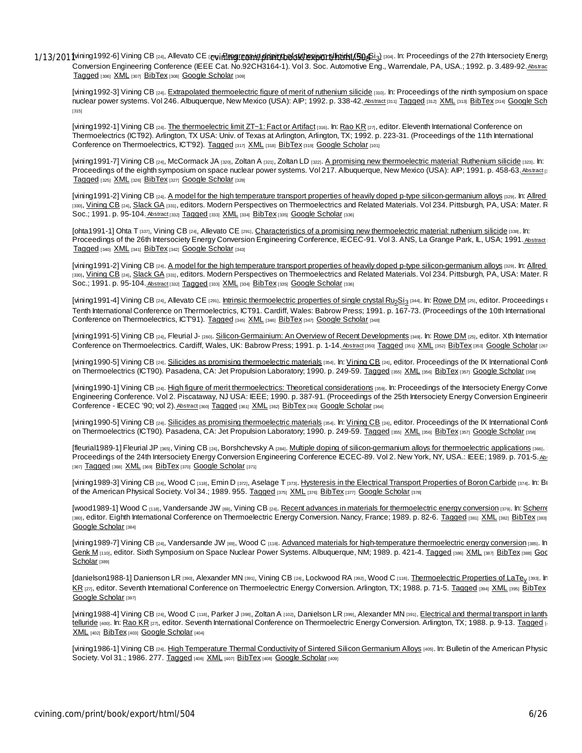1/13/2011vining1992-6] Vining CB <sub>[24]</sub>, Allevato CE <sub>[**ဥvi]**nggres min den in the double print and the doping of the 27th Intersociety Energy</sub> Conversion Engineering Conference (IEEE Cat. No.92CH3164-1). Vol 3. Soc. Automotive Eng., Warrendale, PA, USA.; 1992. p. 3.489-92. Abstraction-Tagged [306] XML [307] BibTex [308] Google Scholar [309]

[vining1992-3] Vining CB [24]. Extrapolated thermoelectric figure of merit of ruthenium silicide [310]. In: Proceedings of the ninth symposium on space nuclear power systems. Vol 246. Albuquerque, New Mexico (USA): AIP; 1992. p. 338-42. Abstract [311] Tagged [312] XML [313] BibTex [314] Google Sch [315]

[vining1992-1] Vining CB [24]. The thermoelectric limit ZT~1: Fact or Artifact [316]. In: Rao KR [27], editor. Eleventh International Conference on Thermoelectrics (ICT92). Arlington, TX USA: Univ. of Texas at Arlington, Arlington, TX; 1992. p. 223-31. (Proceedings of the 11th International Conference on Thermoelectrics, ICT'92). Tagged [317] XML [318] BibTex [319] Google Scholar [101]

[vining1991-7] Vining CB [24], McCormack JA [320], Zoltan A [321], Zoltan LD [322]. A promising new thermoelectric material: Ruthenium silicide [323]. In: Proceedings of the eighth symposium on space nuclear power systems. Vol 217. Albuquerque, New Mexico (USA): AIP; 1991. p. 458-63. Abstract [3] Tagged [325] XML [326] BibTex [327] Google Scholar [328]

[vining1991-2] Vining CB [24]. A model for the high temperature transport properties of heavily doped p-type silicon-germanium alloys [329]. In: Allred [330], Vining CB [24], Slack GA [331], editors. Modern Perspectives on Thermoelectrics and Related Materials. Vol 234. Pittsburgh, PA, USA: Mater. R Soc.; 1991. p. 95-104. Abstract [332] Tagged [333] XML [334] BibTex [335] Google Scholar [336]

[ohta1991-1] Ohta T [337], Vining CB [24], Allevato CE [291]. Characteristics of a promising new thermoelectric material: ruthenium silicide [338]. In: Proceedings of the 26th Intersociety Energy Conversion Engineering Conference, IECEC-91. Vol 3. ANS, La Grange Park, IL, USA; 1991. Abstract Tagged [340] XML [341] BibTex [342] Google Scholar [343]

[vining1991-2] Vining CB [24]. A model for the high temperature transport properties of heavily doped p-type silicon-germanium alloys [329]. In: Allred [330], Vining CB [24], Slack GA [331], editors. Modern Perspectives on Thermoelectrics and Related Materials. Vol 234. Pittsburgh, PA, USA: Mater. R Soc.; 1991. p. 95-104. Abstract [332] Tagged [333] XML [334] BibTex [335] Google Scholar [336]

[vining1991-4] Vining CB <sub>[24]</sub>, Allevato CE <sub>[291]</sub>. <u>Intrinsic thermoelectric properties of single crystal Ru<sub>2</sub>Si<sub>3</sub> [344]. In: <u>Rowe DM</u> <sub>[25]</sub>, editor. Proceedings of</u> Tenth International Conference on Thermoelectrics, ICT91. Cardiff, Wales: Babrow Press; 1991. p. 167-73. (Proceedings of the 10th International Conference on Thermoelectrics, ICT'91). Tagged [345] XML [346] BibTex [347] Google Scholar [348]

[vining1991-5] Vining CB [24], Fleurial J- [260]. Silicon-Germainium: An Overview of Recent Developments [349]. In: Rowe DM [25], editor. Xth Internation Conference on Thermoelectrics. Cardiff, Wales, UK: Babrow Press; 1991. p. 1-14. Abstract [350] Tagged [351] XML [352] BibTex [353] Google Scholar [267]

[vining1990-5] Vining CB [24]. Silicides as promising thermoelectric materials [354]. In: Vining CB [24], editor. Proceedings of the IX International Confi on Thermoelectrics (ICT90). Pasadena, CA: Jet Propulsion Laboratory; 1990. p. 249-59. Tagged [355] XML [356] BibTex [357] Google Scholar [358]

[vining1990-1] Vining CB [24]. High figure of merit thermoelectrics: Theoretical considerations [359]. In: Proceedings of the Intersociety Energy Conve Engineering Conference. Vol 2. Piscataway, NJ USA: IEEE; 1990. p. 387-91. (Proceedings of the 25th Intersociety Energy Conversion Engineering Conference - IECEC '90; vol 2). Abstract [360] Tagged [361] XML [362] BibTex [363] Google Scholar [364]

[vining1990-5] Vining CB [24]. Silicides as promising thermoelectric materials [354]. In: Vining CB [24], editor. Proceedings of the IX International Confi on Thermoelectrics (ICT90). Pasadena, CA: Jet Propulsion Laboratory; 1990. p. 249-59. Tagged [355] XML [356] BibTex [357] Google Scholar [358]

[fleurial1989-1] Fleurial JP [365], Vining CB [24], Borshchevsky A [284]. Multiple doping of silicon-germanium alloys for thermoelectric applications [366]. | Proceedings of the 24th Intersociety Energy Conversion Engineering Conference IECEC-89. Vol 2. New York, NY, USA.: IEEE; 1989. p. 701-5. Ab: [367] Tagged [368] XML [369] BibTex [370] Google Scholar [371]

[vining1989-3] Vining CB [24], Wood C [118], Emin D [372], Aselage T [373]. Hysteresis in the Electrical Transport Properties of Boron Carbide [374]. In: Bu of the American Physical Society. Vol 34.; 1989. 955. Tagged [375] XML [376] BibTex [377] Google Scholar [378]

[wood1989-1] Wood C [118], Vandersande JW [69], Vining CB [24]. Recent advances in materials for thermoelectric energy conversion [379]. In: Scherre [380], editor. Eighth International Conference on Thermoelectric Energy Conversion. Nancy, France; 1989. p. 82-6. Tagged [381] XML [382] BibTex [383] Google Scholar [384]

[vining1989-7] Vining CB [24], Vandersande JW [69], Wood C [118]. Advanced materials for high-temperature thermoelectric energy conversion [385]. In: Genk M<sub>[110]</sub>, editor. Sixth Symposium on Space Nuclear Power Systems. Albuquerque, NM; 1989. p. 421-4. Tagged [386] XML [387] BibTex [388] Goc Scholar<sub>[389]</sub>

[danielson1988-1] Danienson LR <sub>[390]</sub>, Alexander MN <sub>[391]</sub>, Vining CB <sub>[24]</sub>, Lockwood RA <sub>[392]</sub>, Wood C <sub>[118]</sub>. <u>Thermoelectric Properties of LaTe<sub>y</sub> <sub>[393]</sub>. In</u> KR [27], editor. Seventh International Conference on Thermoelectric Energy Conversion. Arlington, TX; 1988, p. 71-5. Tagged [394] XML [395] BibTex Google Scholar [397]

[vining1988-4] Vining CB [24], Wood C [118], Parker J [398], Zoltan A [102], Danielson LR [399], Alexander MN [391]. Electrical and thermal transport in lanthangum telluride [400]. In: Rao KR [27], editor. Seventh International Conference on Thermoelectric Energy Conversion. Arlington, TX; 1988. p. 9-13. Tagged [401] XML [402] BibTex [403] Google Scholar [404]

[vining1986-1] Vining CB [24]. High Temperature Thermal Conductivity of Sintered Silicon Germanium Alloys [405]. In: Bulletin of the American Physic Society. Vol 31.; 1986. 277. Tagged [406] XML [407] BibTex [408] Google Scholar [409]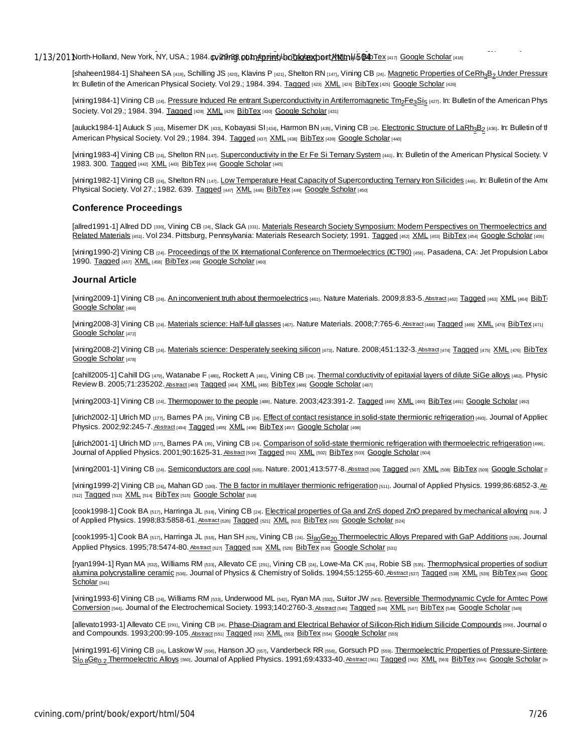1/13/201North-Holland, New York, NY, USA.; 1984.**@vi?βri36.gb1n://gport/html/boTsk/@scholar/MMLfnl/**/֍**@&**DTex <sub>[417]</sub> Google Scholar <sub>[418]</sub>

[shaheen1984-1] Shaheen SA [419], Schilling JS [420], Klavins P [421], Shelton RN [147], Vining CB [24]. Magnetic Properties of CeRh3B2 Under Pressure In: Bulletin of the American Physical Society. Vol 29.; 1984. 394. Tagged [423] XML [424] BibTex [425] Google Scholar [426]

E , editors. Proceedings of the 9th AIRAPT International High Pressure Conference (High Pressure in Science and Technology). Albany, NY, USA.:

[vining1984-1] Vining CB <sub>[24]</sub>. <u>Pressure Induced Re entrant Superconductivity in Antiferromagnetic Tm<sub>2</sub>Fe<sub>3</sub>Si<sub>5</sub> (427). In: Bulletin of the American Phys</u> Society. Vol 29.; 1984. 394. Tagged [428] XML [429] BibTex [430] Google Scholar [431]

[auluck1984-1] Auluck S <sub>[432]</sub>, Misemer DK <sub>[433]</sub>, Kobayasi SI <sub>[434]</sub>, Harmon BN <sub>[435]</sub>, Vining CB <sub>[24]</sub>. <u>Electronic Structure of LaRh<sub>3</sub>B<sub>2</sub> <sub>[436]</sub>. In: Bulletin of the section of the section of the section of the </u> American Physical Society. Vol 29.; 1984. 394. Tagged [437] XML [438] BibTex [439] Google Scholar [440]

[vining1983-4] Vining CB [24], Shelton RN [147]. Superconductivity in the Er Fe Si Ternary System [441]. In: Bulletin of the American Physical Society. V 1983. 300. Tagged [442] XML [443] BibTex [444] Google Scholar [445]

[vining1982-1] Vining CB [24], Shelton RN [147]. Low Temperature Heat Capacity of Superconducting Ternary Iron Silicides [446]. In: Bulletin of the Ame Physical Society. Vol 27.; 1982. 639. Tagged [447] XML [448] BibTex [449] Google Scholar [450]

### **Conference Proceedings**

[allred1991-1] Allred DD [330], Vining CB [24], Slack GA [331]. Materials Research Society Symposium: Modern Perspectives on Thermoelectrics and Related Materials [451]. Vol 234. Pittsburg, Pennsylvania: Materials Research Society; 1991. Tagged [452] XML [453] BibTex [454] Google Scholar [455]

[vining1990-2] Vining CB [24]. Proceedings of the IX International Conference on Thermoelectrics (ICT90) [456]. Pasadena, CA: Jet Propulsion Labor 1990. Tagged [457] XML [458] BibTex [459] Google Scholar [460]

#### **Journal Article**

[vining2009-1] Vining CB [24]. An inconvenient truth about thermoelectrics [461]. Nature Materials. 2009;8:83-5. Abstract [462] Tagged [463] XML [464] BibTe Google Scholar [466]

[vining2008-3] Vining CB [24]. Materials science: Half-full glasses [467]. Nature Materials. 2008;7:765-6. Abstract [468] Tagged [469] XML [470] BibTex [471] Google Scholar [472]

[vining2008-2] Vining CB [24]. Materials science: Desperately seeking silicon [473]. Nature. 2008;451:132-3. Abstract [474] Tagged [475] XML [476] BibTex Google Scholar [478]

[cahill2005-1] Cahill DG [479], Watanabe F [480], Rockett A [481], Vining CB [24]. Thermal conductivity of epitaxial layers of dilute SiGe alloys [482]. Physic Review B. 2005;71:235202. Abstract [483] Tagged [484] XML [485] BibTex [486] Google Scholar [487]

[vining2003-1] Vining CB [24]. Thermopower to the people [488]. Nature. 2003;423:391-2. Tagged [489] XML [490] BibTex [491] Google Scholar [492]

[ulrich2002-1] Ulrich MD [177], Barnes PA [35], Vining CB [24]. *Effect of contact resistance in solid-state thermionic refrigeration* [493]. Journal of Appliec Physics. 2002;92:245-7. Abstract [494] Tagged [495] XML [496] BibTex [497] Google Scholar [498]

[ulrich2001-1] Ulrich MD [177], Barnes PA [35], Vining CB [24]. Comparison of solid-state thermionic refrigeration with thermoelectric refrigeration [499]. Journal of Applied Physics. 2001;90:1625-31. Abstract [500] Tagged [501] XML [502] BibTex [503] Google Scholar [504]

[vining2001-1] Vining CB [24]. Semiconductors are cool [505]. Nature. 2001;413:577-8. Abstract [506] Tagged [507] XML [508] BibTex [509] Google Scholar [5

[vining1999-2] Vining CB [24], Mahan GD [180]. The B factor in multilayer thermionic refrigeration [511]. Journal of Applied Physics. 1999;86:6852-3. Ab [512] Tagged [513] XML [514] BibTex [515] Google Scholar [516]

[cook1998-1] Cook BA [517], Harringa JL [518], Vining CB [24]. Electrical properties of Ga and ZnS doped ZnO prepared by mechanical alloying [519]. J of Applied Physics. 1998;83:5858-61. Abstract [520] Tagged [521] XML [522] BibTex [523] Google Scholar [524]

[cook1995-1] Cook BA [517], Harringa JL [518], Han SH [525], Vining CB [24]. Si<sub>80</sub>Ge<sub>20</sub> Thermoelectric Alloys Prepared with GaP Additions [526]. Journal Applied Physics. 1995;78:5474-80. Abstract [527] Tagged [528] XML [529] BibTex [530] Google Scholar [531]

[ryan1994-1] Ryan MA [532], Williams RM [533], Allevato CE [291], Vining CB [24], Lowe-Ma CK [534], Robie SB [535]. Thermophysical properties of sodium alumina polycrystalline ceramic [536]. Journal of Physics & Chemistry of Solids. 1994;55:1255-60. Abstract [537] Tagged [538] XML [539] BibTex [540] Gooc Scholar [541]

[vining1993-6] Vining CB [24], Williams RM [533], Underwood ML [542], Ryan MA [532], Suitor JW [543]. Reversible Thermodynamic Cycle for Amtec Powe Conversion [544]. Journal of the Electrochemical Society. 1993;140:2760-3. Abstract [545] Tagged [546] XML [547] BibTex [548] Google Scholar [549]

[allevato1993-1] Allevato CE [291], Vining CB [24]. Phase-Diagram and Electrical Behavior of Silicon-Rich Iridium Silicide Compounds [550]. Journal of and Compounds. 1993;200:99-105. Abstract [551] Tagged [552] XML [553] BibTex [554] Google Scholar [555]

[vining1991-6] Vining CB [24], Laskow W [556], Hanson JO [557], Vanderbeck RR [558], Gorsuch PD [559]. Thermoelectric Properties of Pressure-Sintere Sio.8Ge0.2 Thermoelectric Alloys [560]. Journal of Applied Physics. 1991;69:4333-40.Abstract [561] Tagged [562] XML [563] BibTex [564] Google Scholar [51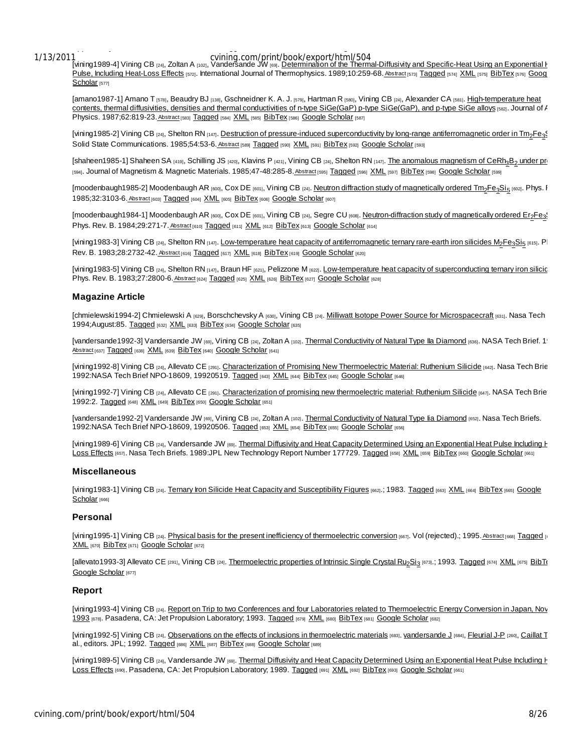# Applied Physics. 1991;69:331-41. Tagged XML BibTex Google Scholar

Com/print/book/export/html/504 and Specific-Heat Using an Exponential to the Thermal-Diffusivity and Specific-Heat Using an Exponential to the Thermal-Diffusivity and Specific-Heat Using an Exponential to the Thermal-Diffu Pulse, Including Heat-Loss Effects [572]. International Journal of Thermophysics. 1989;10:259-68. Abstract [573] Tagged [574] XML [575] BibTex [576] Goog Scholar [577]

[amano1987-1] Amano T [578], Beaudry BJ [138], Gschneidner K. A. J. [579], Hartman R [580], Vining CB [24], Alexander CA [581]. High-temperature heat contents, thermal diffusivities, densities and thermal conductivities of n-type SiGe(GaP) p-type SiGe(GaP), and p-type SiGe alloys [582]. Journal of  $I$ Physics. 1987;62:819-23. Abstract [583] Tagged [584] XML [585] BibTex [586] Google Scholar [587]

[vining1985-2] Vining CB [24], Shelton RN [147]. Destruction of pressure-induced superconductivity by long-range antiferromagnetic order in Tm<sub>2</sub>Fe<sub>3</sub>\$ Solid State Communications. 1985;54:53-6. Abstract [589] Tagged [590] XML [591] BibTex [592] Google Scholar [593]

[shaheen1985-1] Shaheen SA [419], Schilling JS [420], Klavins P [421], Vining CB [24], Shelton RN [147]. The anomalous magnetism of CeRh3B<sub>2</sub> under pressure [594]. Journal of Magnetism & Magnetic Materials. 1985;47-48:285-8. Abstract [595] Tagged [596] XML [597] BibTex [598] Google Scholar [599]

[moodenbaugh1985-2] Moodenbaugh AR <sub>[600]</sub>, Cox DE <sub>[601]</sub>, Vining CB <sub>[24]</sub>. <u>Neutron diffraction study of magnetically ordered Tm<sub>2</sub>Fe<sub>3</sub>Si<sub>5</sub> <sub>[602]</sub>. Phys. F</u> 1985;32:3103-6. Abstract [603] Tagged [604] XML [605] BibTex [606] Google Scholar [607]

[moodenbaugh1984-1] Moodenbaugh AR [600], Cox DE [601], Vining CB [24], Segre CU [608]. Neutron-diffraction study of magnetically ordered Er<sub>2</sub>Fe<sub>33</sub> Phys. Rev. B. 1984;29:271-7. Abstract [610] Tagged [611] XML [612] BibTex [613] Google Scholar [614]

[vining1983-3] Vining CB [24], Shelton RN [147]. Low-temperature heat capacity of antiferromagnetic ternary rare-earth iron silicides M<sub>2</sub>Fe3Si5 [615]. Pl Rev. B. 1983;28:2732-42. Abstract [616] Tagged [617] XML [618] BibTex [619] Google Scholar [620]

[vining1983-5] Vining CB [24], Shelton RN [147], Braun HF [621], Pelizzone M [622]. Low-temperature heat capacity of superconducting ternary iron silicic Phys. Rev. B. 1983;27:2800-6. Abstract [624] Tagged [625] XML [626] BibTex [627] Google Scholar [628]

### **Magazine Article**

[chmielewski1994-2] Chmielewski A [629], Borschchevsky A [630], Vining CB [24]. Milliwatt Isotope Power Source for Microspacecraft [631]. Nasa Tech | 1994; August:85. Tagged [632] XML [633] BibTex [634] Google Scholar [635]

[vandersande1992-3] Vandersande JW [69], Vining CB [24], Zoltan A [102]. Thermal Conductivity of Natural Type IIa Diamond [636]. NASA Tech Brief. 1! Abstract [637] Tagged [638] XML [639] BibTex [640] Google Scholar [641]

[vining1992-8] Vining CB [24], Allevato CE [291]. Characterization of Promising New Thermoelectric Material: Ruthenium Silicide [642]. Nasa Tech Brie 1992:NASA Tech Brief NPO-18609, 19920519. Tagged [643] XML [644] BibTex [645] Google Scholar [646]

[vining1992-7] Vining CB [24], Allevato CE [291]. Characterization of promising new thermoelectric material: Ruthenium Silicide [647]. NASA Tech Brie 1992:2. Tagged [648] XML [649] BibTex [650] Google Scholar [651]

[vandersande1992-2] Vandersande JW [69], Vining CB [24], Zoltan A [102]. Thermal Conductivity of Natural Type lia Diamond [652]. Nasa Tech Briefs. 1992:NASA Tech Brief NPO-18609, 19920506. Tagged [653] XML [654] BibTex [655] Google Scholar [656]

[vining1989-6] Vining CB [24], Vandersande JW [69]. Thermal Diffusivity and Heat Capacity Determined Using an Exponential Heat Pulse Including F Loss Effects [657]. Nasa Tech Briefs. 1989:JPL New Technology Report Number 177729. Tagged [658] XML [659] BibTex [660] Google Scholar [661]

#### **Miscellaneous**

[vining1983-1] Vining CB [24]. Ternary Iron Silicide Heat Capacity and Susceptibility Figures [662]; 1983. Tagged [663] XML [664] BibTex [665] Google Scholar [666]

### **Personal**

[vining1995-1] Vining CB [24]. Physical basis for the present inefficiency of thermoelectric conversion [667]. Vol (rejected).; 1995. Abstract [668] Tagged [1 XML [670] BibTex [671] Google Scholar [672]

[allevato1993-3] Allevato CE [291], Vining CB [24]. <u>Thermoelectric properties of Intrinsic Single Crystal Ru<sub>2</sub>Si<sub>3</sub> [673].; 1993. Tagged [674] <u>XML</u> [675] BibT{</u> Google Scholar [677]

## **Report**

[vining1993-4] Vining CB [24]. Report on Trip to two Conferences and four Laboratories related to Thermoelectric Energy Conversion in Japan, Nov 1993 [678]. Pasadena, CA: Jet Propulsion Laboratory; 1993. Tagged [679] XML [680] BibTex [681] Google Scholar [682]

[vining1992-5] Vining CB [24]. Observations on the effects of inclusions in thermoelectric materials [683]. vandersande J [684], Fleurial J-P [260], Caillat T al., editors. JPL; 1992. Tagged [686] XML [687] BibTex [688] Google Scholar [689]

[vining1989-5] Vining CB [24], Vandersande JW [69]. Thermal Diffusivity and Heat Capacity Determined Using an Exponential Heat Pulse Including H Loss Effects [690]. Pasadena, CA: Jet Propulsion Laboratory; 1989. Tagged [691] XML [692] BibTex [693] Google Scholar [661]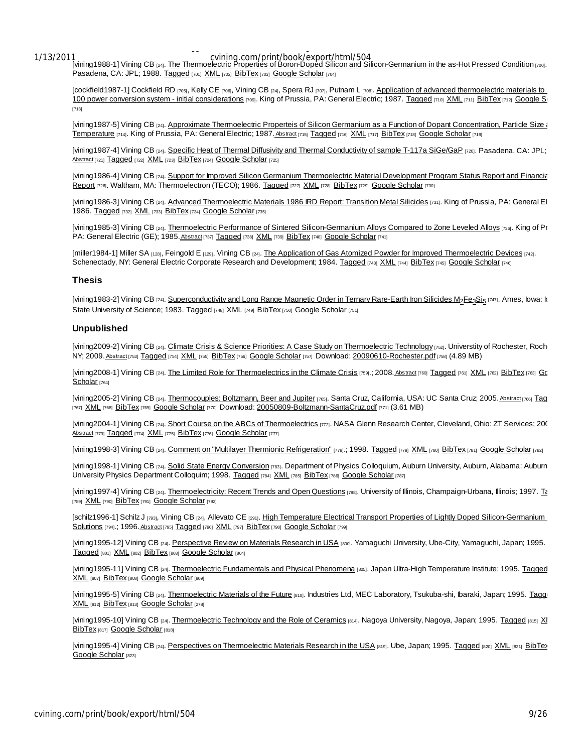Thermoelectron; 1988. Tagged XML BibTex Google Scholars Google Scholars Google Scholars Google Scholars Google

Com/print/book/export/html/504<br>[vining1988-1] Vining CB [24]. The Thermoelectric Properties of Boron-Doped Silicon and Silicon-Germanium in the as-Hot Pressed Condition [700]. Pasadena, CA: JPL; 1988. Tagged [701] XML [702] BibTex [703] Google Scholar [704]

[cockfield1987-1] Cockfield RD [705], Kelly CE [706], Vining CB [24], Spera RJ [707], Putnam L [708]. Application of advanced thermoelectric materials to 100 power conversion system - initial considerations [709]. King of Prussia, PA: General Electric; 1987. Tagged [710] XML [711] BibTex [712] Google St [713]

[vining1987-5] Vining CB [24]. Approximate Thermoelectric Properteis of Silicon Germanium as a Function of Dopant Concentration, Particle Size and Temperature [714]. King of Prussia, PA: General Electric; 1987. Abstract [715] Tagged [716] XML [717] BibTex [718] Google Scholar [719]

[vining1987-4] Vining CB [24]. Specific Heat of Thermal Diffusivity and Thermal Conductivity of sample T-117a SiGe/GaP [720]. Pasadena, CA: JPL; Abstract [721] Tagged [722] XML [723] BibTex [724] Google Scholar [725]

[vining1986-4] Vining CB [24]. Support for Improved Silicon Germanium Thermoelectric Material Development Program Status Report and Financial Report [726]. Waltham, MA: Thermoelectron (TECO); 1986. Tagged [727] XML [728] BibTex [729] Google Scholar [730]

[vining1986-3] Vining CB [24]. Advanced Thermoelectric Materials 1986 IRD Report: Transition Metal Silicides [731]. King of Prussia, PA: General El 1986. Tagged [732] XML [733] BibTex [734] Google Scholar [735]

[vining1985-3] Vining CB [24]. Thermoelectric Performance of Sintered Silicon-Germanium Alloys Compared to Zone Leveled Alloys [736]. King of Pr PA: General Electric (GE); 1985. Abstract [737] Tagged [738] XML [739] BibTex [740] Google Scholar [741]

[miller1984-1] Miller SA [128], Feingold E [129], Vining CB [24]. The Application of Gas Atomized Powder for Improved Thermoelectric Devices [742]. Schenectady, NY: General Electric Corporate Research and Development; 1984. Tagged [743] XML [744] BibTex [745] Google Scholar [746]

### **Thesis**

[vining1983-2] Vining CB <sub>[24]</sub>. <u>Superconductivity and Long Range Magnetic Order in Ternary Rare-Earth Iron Silicides M2Fe3Si5 [747]</u>. Ames, Iowa: Io State University of Science; 1983. Tagged [748] XML [749] BibTex [750] Google Scholar [751]

### **Unpublished**

[vining2009-2] Vining CB [24]. Climate Crisis & Science Priorities: A Case Study on Thermoelectric Technology [752]. Universtity of Rochester, Roch NY; 2009. Abstract [753] Tagged [754] XML [755] BibTex [756] Google Scholar [757] Download: 20090610-Rochester.pdf [758] (4.89 MB)

[vining2008-1] Vining CB [24]. The Limited Role for Thermoelectrics in the Climate Crisis [759].; 2008. Abstract [760] Tagged [761] XML [762] BibTex [763] Gc Scholar [764]

[vining2005-2] Vining CB [24]. Thermocouples: Boltzmann, Beer and Jupiter [765]. Santa Cruz, California, USA: UC Santa Cruz; 2005. Abstract [766] Tag [767] XML [768] BibTex [769] Google Scholar [770] Download: 20050809-Boltzmann-SantaCruz.pdf [771] (3.61 MB)

[vining2004-1] Vining CB [24]. Short Course on the ABCs of Thermoelectrics [772]. NASA Glenn Research Center, Cleveland, Ohio: ZT Services; 20( Abstract [773] Tagged [774] XML [775] BibTex [776] Google Scholar [777]

[vining1998-3] Vining CB [24]. Comment on "Multilayer Thermionic Refrigeration" [778].; 1998. Tagged [779] XML [780] BibTex [781] Google Scholar [782]

[vining1998-1] Vining CB [24]. Solid State Energy Conversion [783]. Department of Physics Colloquium, Auburn University, Auburn, Alabama: Auburn University Physics Department Colloquim; 1998. Tagged [784] XML [785] BibTex [786] Google Scholar [787]

[vining1997-4] Vining CB [24]. Thermoelectricity: Recent Trends and Open Questions [788]. University of Illinois, Champaign-Urbana, Illinois; 1997. To [789] XML [790] BibTex [791] Google Scholar [792]

[schilz1996-1] Schilz J [793], Vining CB [24], Allevato CE [291]. High Temperature Electrical Transport Properties of Lightly Doped Silicon-Germanium Solutions [794].; 1996. Abstract [795] Tagged [796] XML [797] BibTex [798] Google Scholar [799]

[vining1995-12] Vining CB [24]. Perspective Review on Materials Research in USA [800]. Yamaguchi University, Ube-City, Yamaguchi, Japan; 1995. Tagged [801] XML [802] BibTex [803] Google Scholar [804]

[vining1995-11] Vining CB [24]. Thermoelectric Fundamentals and Physical Phenomena [805]. Japan Ultra-High Temperature Institute; 1995. Tagged XML [807] BibTex [808] Google Scholar [809]

[vining1995-5] Vining CB [24]. Thermoelectric Materials of the Future [810]. Industries Ltd, MEC Laboratory, Tsukuba-shi, Ibaraki, Japan; 1995. Taggi XML [812] BibTex [813] Google Scholar [278]

[vining1995-10] Vining CB [24]. Thermoelectric Technology and the Role of Ceramics [814]. Nagoya University, Nagoya, Japan; 1995. Tagged [815] XI BibTex [817] Google Scholar [818]

[vining1995-4] Vining CB [24]. Perspectives on Thermoelectric Materials Research in the USA [819]. Ube, Japan; 1995. Tagged [820] XML [821] BibTex Google Scholar [823]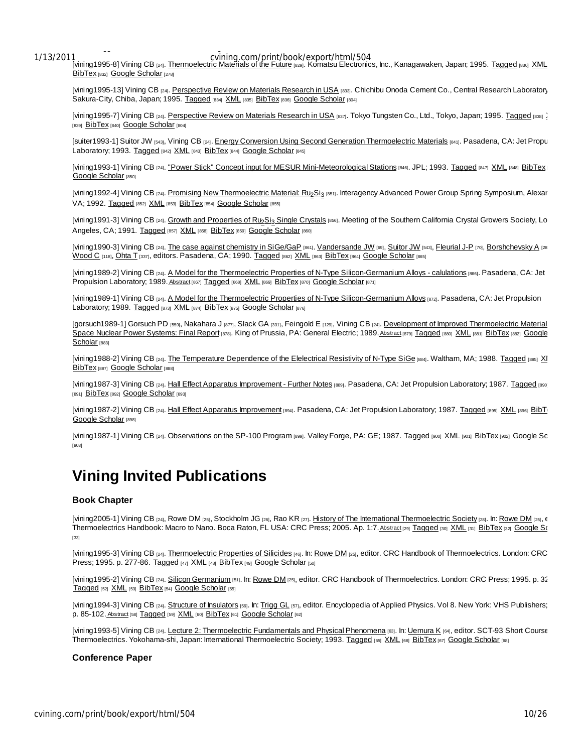1995. Tagged XML BibTex Google Scholar

Com/print/book/export/html/504 [1/13/2011] com/print/book/export/html/504<br>[vining1995-8] Vining CB [24]. Thermoelectric Materials of the Future [829]. Komatsu Electronics, Inc., Kanagawaken, Japan; 1995. Tagged [830] XML BibTex [832] Google Scholar [278]

[vining1995-13] Vining CB [24]. Perspective Review on Materials Research in USA [833]. Chichibu Onoda Cement Co., Central Research Laboratory Sakura-City, Chiba, Japan; 1995. Tagged [834] XML [835] BibTex [836] Google Scholar [804]

[vining1995-7] Vining CB [24]. Perspective Review on Materials Research in USA [837]. Tokyo Tungsten Co., Ltd., Tokyo, Japan; 1995. Tagged [838] 2 [839] BibTex [840] Google Scholar [804]

[suiter1993-1] Suitor JW [543], Vining CB [24]. Energy Conversion Using Second Generation Thermoelectric Materials [841]. Pasadena, CA: Jet Propu Laboratory; 1993. Tagged [842] XML [843] BibTex [844] Google Scholar [845]

[vining1993-1] Vining CB [24]. "Power Stick" Concept input for MESUR Mini-Meteorological Stations [846]. JPL; 1993. Tagged [847] XML [848] BibTex Google Scholar [850]

[vining1992-4] Vining CB <sub>[24]</sub>. <u>Promising New Thermoelectric Material: Ru<sub>2</sub>Si<sub>3</sub> <sub>[851]</sub>. Interagency Advanced Power Group Spring Symposium, Alexar</u> VA; 1992. Tagged [852] XML [853] BibTex [854] Google Scholar [855]

[vining1991-3] Vining CB [24]. Growth and Properties of Ru<sub>2</sub>Si<sub>3</sub> Single Crystals [856]. Meeting of the Southern California Crystal Growers Society, Lo Angeles, CA; 1991. Tagged [857] XML [858] BibTex [859] Google Scholar [860]

[vining1990-3] Vining CB [24]. The case against chemistry in SiGe/GaP [861]. Vandersande JW [69], Suitor JW [543], Fleurial J-P [70], Borshchevsky A [28] Wood C [118], Ohta T [337], editors. Pasadena, CA; 1990. Tagged [862] XML [863] BibTex [864] Google Scholar [865]

[vining1989-2] Vining CB [24]. A Model for the Thermoelectric Properties of N-Type Silicon-Germanium Alloys - calulations [866]. Pasadena, CA: Jet Propulsion Laboratory; 1989. Abstract [867] Tagged [868] XML [869] BibTex [870] Google Scholar [871]

[vining1989-1] Vining CB [24]. A Model for the Thermoelectric Properties of N-Type Silicon-Germanium Alloys [872]. Pasadena, CA: Jet Propulsion Laboratory; 1989. Tagged [873] XML [874] BibTex [875] Google Scholar [876]

[gorsuch1989-1] Gorsuch PD [559], Nakahara J [877], Slack GA [331], Feingold E [129], Vining CB [24]. Development of Improved Thermoelectric Material Space Nuclear Power Systems: Final Report [878]. King of Prussia, PA: General Electric; 1989. Abstract [879] Tagged [880] XML [881] BibTex [882] Google Scholar [883]

[vining1988-2] Vining CB [24]. The Temperature Dependence of the Elelectrical Resistivity of N-Type SiGe [884]. Waltham, MA; 1988. Tagged [885] XI BibTex [887] Google Scholar [888]

[vining1987-3] Vining CB [24]. Hall Effect Apparatus Improvement - Further Notes [889]. Pasadena, CA: Jet Propulsion Laboratory; 1987. Tagged [890] [891] BibTex [892] Google Scholar [893]

[vining1987-2] Vining CB [24]. Hall Effect Apparatus Improvement [894]. Pasadena, CA: Jet Propulsion Laboratory; 1987. Tagged [895] XML [896] BibTe Google Scholar [898]

[vining1987-1] Vining CB [24]. Observations on the SP-100 Program [899]. Valley Forge, PA: GE; 1987. Tagged [900] XML [901] BibTex [902] Google Sc [903]

# **Vining Invited Publications**

## **Book Chapter**

[vining2005-1] Vining CB [24], Rowe DM [25], Stockholm JG [26], Rao KR [27]. History of The International Thermoelectric Society [28]. In: Rowe DM [25],  $\epsilon$ Thermoelectrics Handbook: Macro to Nano. Boca Raton, FL USA: CRC Press; 2005. Ap. 1:7. Abstract [29] Tagged [30] XML [31] BibTex [32] Google So [33]

[vining1995-3] Vining CB [24]. Thermoelectric Properties of Silicides [46]. In: Rowe DM [25], editor. CRC Handbook of Thermoelectrics. London: CRC Press; 1995. p. 277-86. Tagged [47] XML [48] BibTex [49] Google Scholar [50]

[vining1995-2] Vining CB [24]. Silicon Germanium [51]. In: Rowe DM [25], editor. CRC Handbook of Thermoelectrics. London: CRC Press; 1995. p. 32 Tagged [52] XML [53] BibTex [54] Google Scholar [55]

[vining1994-3] Vining CB [24]. Structure of Insulators [56]. In: Trigg GL [57], editor. Encyclopedia of Applied Physics. Vol 8. New York: VHS Publishers; p. 85-102. Abstract [58] Tagged [59] XML [60] BibTex [61] Google Scholar [62]

[vining1993-5] Vining CB [24]. Lecture 2: Thermoelectric Fundamentals and Physical Phenomena [63]. In: Lemura K [64], editor. SCT-93 Short Course Thermoelectrics. Yokohama-shi, Japan: International Thermoelectric Society; 1993. Tagged [65] XML [66] BibTex [67] Google Scholar [68]

## **Conference Paper**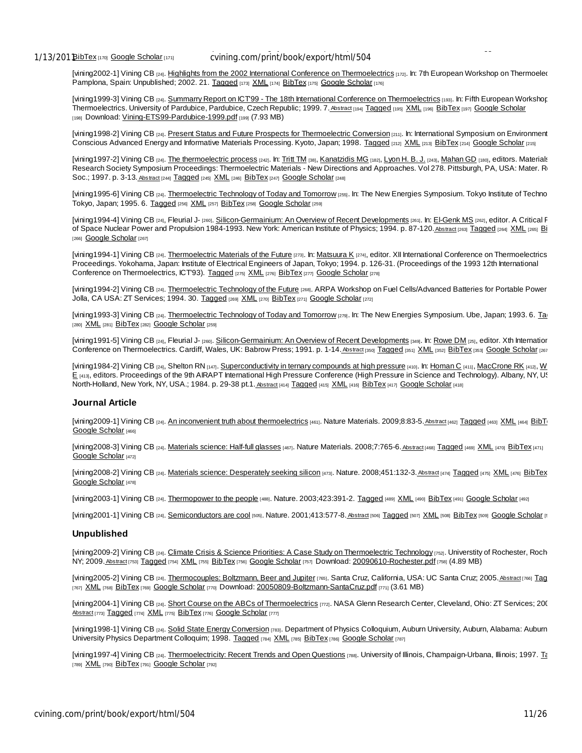1/13/201 BibTex [170] Google Scholar [171]

Thermoelectrics, ECT2007, available at http://ect2007.its.org/system/files/u1/pdf/02.pdf. Odessa, Ukraine; 2007. Tagged XML

[vining2002-1] Vining CB [24]. Highlights from the 2002 International Conference on Thermoelectrics [172]. In: 7th European Workshop on Thermoelec Pamplona, Spain: Unpublished; 2002. 21. Tagged [173] XML [174] BibTex [175] Google Scholar [176]

[vining1999-3] Vining CB [24]. Summarry Report on ICT99 - The 18th International Conference on Thermoelectrics [193]. In: Fifth European Workshop Thermoelectrics. University of Pardubice, Pardubice, Czech Republic; 1999. 7. Abstract [194] Tagged [195] XML [196] BibTex [197] Google Scholar [198] Download: Vining-ETS99-Pardubice-1999.pdf [199] (7.93 MB)

[vining1998-2] Vining CB [24]. Present Status and Future Prospects for Thermoelectric Conversion [211]. In: International Symposium on Environment Conscious Advanced Energy and Informative Materials Processing. Kyoto, Japan; 1998. Tagged [212] XML [213] BibTex [214] Google Scholar [215]

[vining1997-2] Vining CB [24]. The thermoelectric process [242]. In: Tritt TM [38], Kanatzidis MG [182], Lyon H. B. J. [243], Mahan GD [180], editors. Materials Research Society Symposium Proceedings: Thermoelectric Materials - New Directions and Approaches. Vol 278. Pittsburgh, PA, USA: Mater. Res. Soc.; 1997. p. 3-13. Abstract [244] Tagged [245] XML [246] BibTex [247] Google Scholar [248]

[vining1995-6] Vining CB [24]. Thermoelectric Technology of Today and Tomorrow [255]. In: The New Energies Symposium. Tokyo Institute of Techno Tokyo, Japan; 1995. 6. Tagged [256] XML [257] BibTex [258] Google Scholar [259]

[vining1994-4] Vining CB [24], Fleurial J- [260]. Silicon-Germainium: An Overview of Recent Developments [261]. In: El-Genk MS [262], editor. A Critical F of Space Nuclear Power and Propulsion 1984-1993. New York: American Institute of Physics; 1994. p. 87-120. Abstract [263] Tagged [264] XML [265] Bi [266] Google Scholar [267]

[vining1994-1] Vining CB [24]. Thermoelectric Materials of the Future [273]. In: Matsuura K [274], editor. XII International Conference on Thermoelectrics Proceedings. Yokohama, Japan: Institute of Electrical Engineers of Japan, Tokyo; 1994. p. 126-31. (Proceedings of the 1993 12th International Conference on Thermoelectrics, ICT'93). Tagged [275] XML [276] BibTex [277] Google Scholar [278]

[vining1994-2] Vining CB [24]. Thermoelectric Technology of the Future [268]. ARPA Workshop on Fuel Cells/Advanced Batteries for Portable Power Jolla, CA USA: ZT Services; 1994. 30. Tagged [269] XML [270] BibTex [271] Google Scholar [272]

[vining1993-3] Vining CB [24]. Thermoelectric Technology of Today and Tomorrow [279]. In: The New Energies Symposium. Ube, Japan; 1993. 6. Ta [280] XML [281] BibTex [282] Google Scholar [259]

[vining1991-5] Vining CB [24], Fleurial J- [260]. Silicon-Germainium: An Overview of Recent Developments [349]. In: Rowe DM [25], editor. Xth Internation Conference on Thermoelectrics. Cardiff, Wales, UK: Babrow Press; 1991. p. 1-14. Abstract [360] Tagged [361] XML [362] BibTex [353] Google Scholar [267]

[vining1984-2] Vining CB [24], Shelton RN [147]. Superconductivity in ternary compounds at high pressure [410]. In: Homan C [411], MacCrone RK [412], W E [413], editors. Proceedings of the 9th AIRAPT International High Pressure Conference (High Pressure in Science and Technology). Albany, NY, US North-Holland, New York, NY, USA.; 1984. p. 29-38 pt.1. Abstract [414] Tagged [415] XML [416] BibTex [417] Google Scholar [418]

## **Journal Article**

[vining2009-1] Vining CB [24]. An inconvenient truth about thermoelectrics [461]. Nature Materials. 2009;8:83-5. Abstract [462] Tagged [463] XML [464] BibTu Google Scholar [466]

[vining2008-3] Vining CB [24]. Materials science: Half-full glasses [467]. Nature Materials. 2008;7:765-6. Abstract [468] Tagged [469] XML [470] BibTex [471] Google Scholar [472]

[vining2008-2] Vining CB [24]. Materials science: Desperately seeking silicon [473]. Nature. 2008;451:132-3. Abstract [474] Tagged [475] XML [476] BibTex Google Scholar [478]

[vining2003-1] Vining CB [24]. Thermopower to the people [488]. Nature. 2003;423:391-2. Tagged [489] XML [490] BibTex [491] Google Scholar [492]

[vining2001-1] Vining CB [24]. Semiconductors are cool [505]. Nature. 2001;413:577-8. Abstract [506] Tagged [507] XML [508] BibTex [509] Google Scholar [5

#### **Unpublished**

[vining2009-2] Vining CB [24]. Climate Crisis & Science Priorities: A Case Study on Thermoelectric Technology [752]. Universtity of Rochester, Roch NY; 2009. Abstract [753] Tagged [754] XML [755] BibTex [756] Google Scholar [757] Download: 20090610-Rochester.pdf [758] (4.89 MB)

[vining2005-2] Vining CB [24]. Thermocouples: Boltzmann, Beer and Jupiter [765]. Santa Cruz, California, USA: UC Santa Cruz; 2005. Abstract [766] Tag [767] XML [768] BibTex [769] Google Scholar [770] Download: 20050809-Boltzmann-SantaCruz.pdf [771] (3.61 MB)

[vining2004-1] Vining CB [24]. Short Course on the ABCs of Thermoelectrics [772]. NASA Glenn Research Center, Cleveland, Ohio: ZT Services; 20( Abstract [773] Tagged [774] XML [775] BibTex [776] Google Scholar [777]

[vining1998-1] Vining CB [24]. Solid State Energy Conversion [783]. Department of Physics Colloquium, Auburn University, Auburn, Alabama: Auburn University Physics Department Colloquim; 1998. Tagged [784] XML [785] BibTex [786] Google Scholar [787]

[vining1997-4] Vining CB [24]. Thermoelectricity: Recent Trends and Open Questions [788]. University of Illinois, Champaign-Urbana, Illinois; 1997. To [789] XML [790] BibTex [791] Google Scholar [792]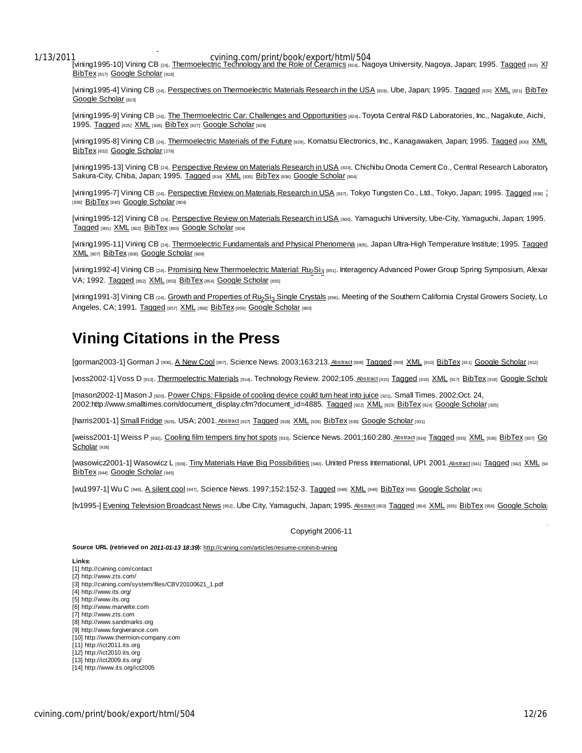XML BibTex Google Scholar

Cvining.com/print/book/export/html/504<br>[vining1995-10] Vining CB [24]. Thermoelectric Technology and the Role of Ceramics [814]. Nagoya University, Nagoya, Japan; 1995. Tagged [815] XI BibTex [817] Google Scholar [818]

[vining1995-4] Vining CB [24]. Perspectives on Thermoelectric Materials Research in the USA [819]. Ube, Japan; 1995. Tagged [820] XML [821] BibTex Google Scholar [823]

[vining1995-9] Vining CB [24]. The Thermoelectric Car: Challenges and Opportunities [824]. Toyota Central R&D Laboratories, Inc., Nagakute, Aichi, 1995. Tagged [825] XML [826] BibTex [827] Google Scholar [828]

[vining1995-8] Vining CB [24]. Thermoelectric Materials of the Future [829]. Komatsu Electronics, Inc., Kanagawaken, Japan; 1995. Tagged [830] XML BibTex [832] Google Scholar [278]

[vining1995-13] Vining CB [24]. Perspective Review on Materials Research in USA [833]. Chichibu Onoda Cement Co., Central Research Laboratory Sakura-City, Chiba, Japan; 1995. Tagged [834] XML [835] BibTex [836] Google Scholar [804]

[vining1995-7] Vining CB [24]. Perspective Review on Materials Research in USA [837]. Tokyo Tungsten Co., Ltd., Tokyo, Japan; 1995. Tagged [838] 2 [839] BibTex [840] Google Scholar [804]

[vining1995-12] Vining CB [24]. Perspective Review on Materials Research in USA [800]. Yamaguchi University, Ube-City, Yamaguchi, Japan; 1995. Tagged [801] XML [802] BibTex [803] Google Scholar [804]

[vining1995-11] Vining CB [24]. Thermoelectric Fundamentals and Physical Phenomena [805]. Japan Ultra-High Temperature Institute; 1995. Tagged XML [807] BibTex [808] Google Scholar [809]

[vining1992-4] Vining CB <sub>[24]</sub>. <u>Promising New Thermoelectric Material: Ru<sub>2</sub>Si<sub>3 [851]</sub>. Interagency Advanced Power Group Spring Symposium, Alexar</u> VA; 1992. Tagged [852] XML [853] BibTex [854] Google Scholar [855]

[vining1991-3] Vining CB [24]. Growth and Properties of Ru<sub>2</sub>Si<sub>3</sub> Single Crystals [856]. Meeting of the Southern California Crystal Growers Society, Lo Angeles, CA; 1991. Tagged [857] XML [858] BibTex [859] Google Scholar [860]

# **Vining Citations in the Press**

[gorman2003-1] Gorman J [906]. A New Cool [907]. Science News. 2003;163:213. Abstract [908] Tagged [909] XML [910] BibTex [911] Google Scholar [912]

[VOSS2002-1] VOSS D [913]. Thermoelectric Materials [914]. Technology Review. 2002;105. Abstract [915] Tagged [916] XML [917] BibTex [918] Google Schola

[mason2002-1] Mason J [920]. Power Chips: Flipside of cooling device could turn heat into juice [921]. Small Times. 2002;Oct. 24, 2002:http://www.smalltimes.com/document\_display.cfm?document\_id=4885. Tagged [922] XML [923] BibTex [924] Google Scholar [925]

[harris2001-1] Small Fridge [926]. USA; 2001. Abstract [927] Tagged [928] XML [929] BibTex [930] Google Scholar [931]

[weiss2001-1] Weiss P [932]. Cooling film tempers tiny hot spots [933]. Science News. 2001;160:280. Abstract [934] Tagged [935] XML [936] BibTex [937] Go Scholar [938]

[wasowicz2001-1] Wasowicz L [939]. Tiny Materials Have Big Possibilities [940]. United Press International, UPI. 2001. Abstract [941] Tagged [942] XML [94 BibTex [944] Google Scholar [945]

[wu1997-1] Wu C [946]. A silent cool [947]. Science News. 1997;152:152-3. Tagged [948] XML [949] BibTex [950] Google Scholar [951]

[tv1995-] Evening Television Broadcast News [952]. Ube City, Yamaguchi, Japan; 1995. Abstract [953] Tagged [954] XML [955] BibTex [956] Google Scholar

Copyright 2006-11

**Source URL (retrieved on** *2011-01-13 18:39***):** http://cvining.com/articles/resume-cronin-b-vining

**Links:**

- [1] http://cvining.com/contact
- [2] http://www.zts.com/ [3] http://cvining.com/system/files/CBV20100621\_1.pdf
- [4] http://www.its.org/
- [5] http://www.its.org
- [6] http://www.marvelte.com
- [7] http://www.zts.com
- [8] http://www.sandmarks.org [9] http://www.forgiverance.com
- [10] http://www.thermion-company.com
- [11] http://ict2011.its.org
- [12] http://ict2010.its.org
- [13] http://ict2009.its.org/
- [14] http://www.its.org/ict2005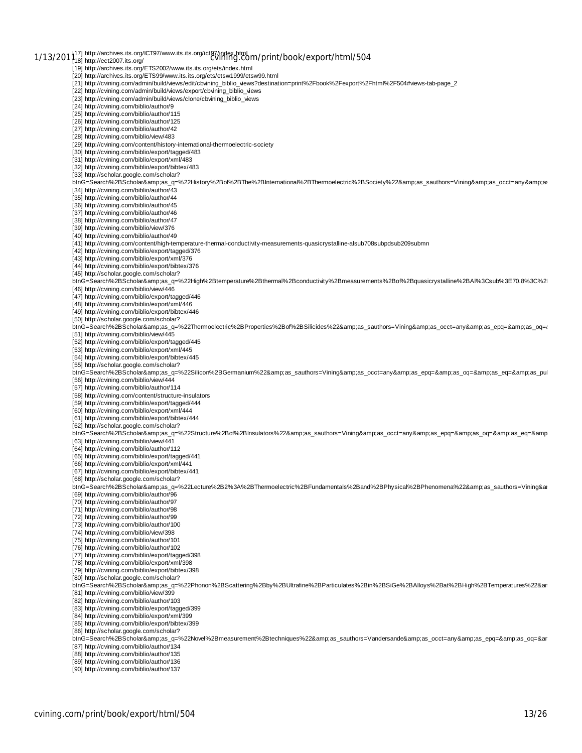1/13/201 $\frac{1}{18}$  http://archives.its.org/ICT97/www.its.its.org/ict97/index.html<br>CVINING.com/print/book/export/html/504 [19] http://archives.its.org/ETS2002/www.its.its.org/ets/index.html [20] http://archives.its.org/ETS99/www.its.its.org/ets/etsw1999/etsw99.html<br>[21] http://cvining.com/admin/build/views/edit/cbvining\_biblio\_views?destination=print%2Fbook%2Fexport%2Fhtml%2F504#views-tab-page\_2 [22] http://cvining.com/admin/build/views/export/cbvining\_biblio\_views [23] http://cvining.com/admin/build/views/clone/cbvining\_biblio\_views<br>[24] http://cvining.com/biblio/author/9<br>[25] http://cvining.com/biblio/author/115 [26] http://cvining.com/biblio/author/125 [27] http://cvining.com/biblio/author/42 [28] http://cvining.com/biblio/view/483 [29] http://cvining.com/content/history-international-thermoelectric-society [30] http://cvining.com/biblio/export/tagged/483 [31] http://cvining.com/biblio/export/xml/483 [32] http://cvining.com/biblio/export/bibtex/483 [33] http://scholar.google.com/scholar? btnG=Search%2BScholar&as\_q=%22History%2Bof%2BThe%2BInternational%2BThermoelectric%2BSociety%22&as\_sauthors=Vining&as\_occt=any&as [34] http://cvining.com/biblio/author/43 [35] http://cvining.com/biblio/author/44 [36] http://cvining.com/biblio/author/45 [37] http://cvining.com/biblio/author/46 [38] http://cvining.com/biblio/author/47 [39] http://cvining.com/biblio/view/376 [40] http://cvining.com/biblio/author/49 [41] http://cvining.com/content/high-temperature-thermal-conductivity-measurements-quasicrystalline-alsub708subpdsub209submn [42] http://cvining.com/biblio/export/tagged/376 [43] http://cvining.com/biblio/export/xml/376 [44] http://cvining.com/biblio/export/bibtex/376 [45] http://scholar.google.com/scholar? btnG=Search%2BScholar&as\_q=%22High%2Btemperature%2Bthermal%2Bconductivity%2Bmeasurements%2Bof%2Bquasicrystalline%2BAl%3Csub%3E70.8%3C%2 [46] http://cvining.com/biblio/view/446 [47] http://cvining.com/biblio/export/tagged/446 [48] http://cvining.com/biblio/export/xml/446 [49] http://cvining.com/biblio/export/bibtex/446 [50] http://scholar.google.com/scholar? btnG=Search%2BScholar&as\_q=%22Thermoelectric%2BProperties%2Bof%2BSilicides%22&as\_sauthors=Vining&as\_occt=any&as\_epq=&as\_oq={ [51] http://cvining.com/biblio/view/445 [52] http://cvining.com/biblio/export/tagged/445 [53] http://cvining.com/biblio/export/xml/445 [54] http://cvining.com/biblio/export/bibtex/445 [55] http://scholar.google.com/scholar? btnG=Search%2BScholar&as\_q=%22Silicon%2BGermanium%22&as\_sauthors=Vining&as\_occt=any&as\_epq=&as\_oq=&as\_eq=&as\_pul [56] http://cvining.com/biblio/view/444 [57] http://cvining.com/biblio/author/114 [58] http://cvining.com/content/structure-insulators [59] http://cvining.com/biblio/export/tagged/444 [60] http://cvining.com/biblio/export/xml/444 [61] http://cvining.com/biblio/export/bibtex/444 [62] http://scholar.google.com/scholar? btnG=Search%2BScholar&as\_q=%22Structure%2Bof%2BInsulators%22&as\_sauthors=Vining&as\_occt=any&as\_epq=&as\_oq=&as\_eq=&amp [63] http://cvining.com/biblio/view/441 [64] http://cvining.com/biblio/author/112 [65] http://cvining.com/biblio/export/tagged/441 [66] http://cvining.com/biblio/export/xml/441 [67] http://cvining.com/biblio/export/bibtex/441 [68] http://scholar.google.com/scholar? btnG=Search%2BScholar&as\_q=%22Lecture%2B2%3A%2BThermoelectric%2BFundamentals%2Band%2BPhysical%2BPhenomena%22&as\_sauthors=Vining&ar [69] http://cvining.com/biblio/author/96 [70] http://cvining.com/biblio/author/97 [71] http://cvining.com/biblio/author/98 [72] http://cvining.com/biblio/author/99 [73] http://cvining.com/biblio/author/100 [74] http://cvining.com/biblio/view/398 [75] http://cvining.com/biblio/author/101 [76] http://cvining.com/biblio/author/102 [77] http://cvining.com/biblio/export/tagged/398 [78] http://cvining.com/biblio/export/xml/398 [79] http://cvining.com/biblio/export/bibtex/398 [80] http://scholar.google.com/scholar?<br>btnG=Search%2BScholar&amp;as\_q=%22Phonon%2BScattering%2Bby%2BUltrafine%2BParticulates%2Bin%2BSiGe%2BAlloys%2Bat%2BHigh%2BTemperatures%22&ar [81] http://cvining.com/biblio/view/399 [82] http://cvining.com/biblio/author/103 [83] http://cvining.com/biblio/export/tagged/399 [84] http://cvining.com/biblio/export/xml/399 [85] http://cvining.com/biblio/export/bibtex/399 [86] http://scholar.google.com/scholar? btnG=Search%2BScholar&as\_q=%22Novel%2Bmeasurement%2Btechniques%22&as\_sauthors=Vandersande&as\_occt=any&as\_epq=&as\_oq=&ar [87] http://cvining.com/biblio/author/134 [88] http://cvining.com/biblio/author/135 [89] http://cvining.com/biblio/author/136

[90] http://cvining.com/biblio/author/137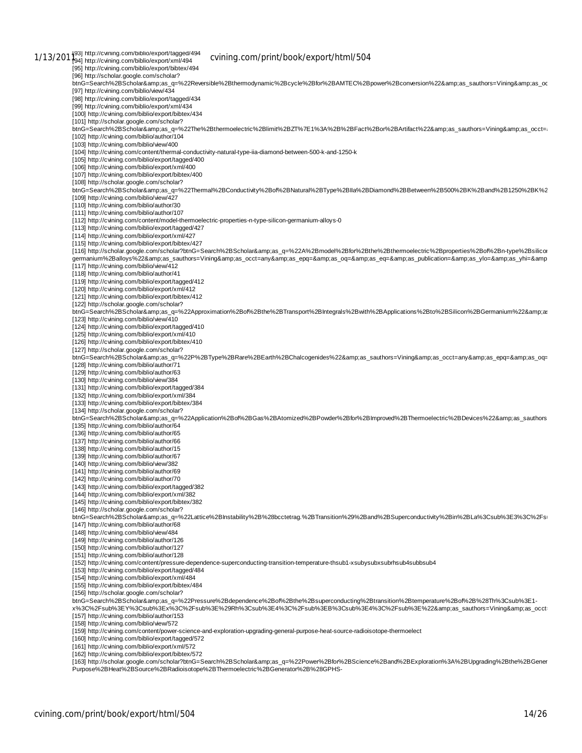1/13/201<sup>1</sup>93] http://cvining.com/biblio/export/tagged/494 cvining.com/print/book/export/html/504 [95] http://cvining.com/biblio/export/bibtex/494 [96] http://scholar.google.com/scholar?<br>btnG=Search%2BScholar&amp;as\_q=%22Reversible%2Bthermodynamic%2Bcycle%2Bfor%2BAMTEC%2Bpower%2Bconversion%22&amp;as\_sauthors=Vining&amp;as\_oc [97] http://cvining.com/biblio/view/434 [98] http://cvining.com/biblio/export/tagged/434 [99] http://cvining.com/biblio/export/xml/434 [100] http://cvining.com/biblio/export/bibtex/434 [101] http://scholar.google.com/scholar?<br>btnG=Search%2BScholar&amp;as\_q=%22The%2Bthermoelectric%2Blimit%2BZT%7E1%3A%2B%2BFact%2Bor%2BArtifact%22&amp;as\_sauthors=Vining&amp;as\_occt≕ [102] http://cvining.com/biblio/author/104 [103] http://cvining.com/biblio/view/400 [104] http://cvining.com/content/thermal-conductivity-natural-type-iia-diamond-between-500-k-and-1250-k [105] http://cvining.com/biblio/export/tagged/400 [106] http://cvining.com/biblio/export/xml/400 [107] http://cvining.com/biblio/export/bibtex/400 [108] http://scholar.google.com/scholar? btnG=Search%2BScholar&as\_q=%22Thermal%2BConductivity%2Bof%2BNatural%2BType%2BIIa%2BDiamond%2BBetween%2B500%2BK%2Band%2B1250%2BK%2 [109] http://cvining.com/biblio/view/427 [110] http://cvining.com/biblio/author/30 [111] http://cvining.com/biblio/author/107 [112] http://cvining.com/content/model-thermoelectric-properties-n-type-silicon-germanium-alloys-0 [113] http://cvining.com/biblio/export/tagged/427 [114] http://cvining.com/biblio/export/xml/427 [115] http://cvining.com/biblio/export/bibtex/427 [116] http://scholar.google.com/scholar?btnG=Search%2BScholar&as\_q=%22A%2Bmodel%2Bfor%2Bthe%2Bthermoelectric%2Bproperties%2Bof%2Bn-type%2Bsilicor germanium%2Balloys%22&as\_sauthors=Vining&as\_occt=any&as\_epq=&as\_oq=&as\_eq=&as\_yublication=&as\_ylo=&as\_yhi=&amp [117] http://cvining.com/biblio/view/412 [118] http://cvining.com/biblio/author/41 [119] http://cvining.com/biblio/export/tagged/412 [120] http://cvining.com/biblio/export/xml/412 [121] http://cvining.com/biblio/export/bibtex/412 [122] http://scholar.google.com/scholar? .<br>btnG=Search%2BScholar&amp;as\_q=%22Approximation%2Bof%2Bthe%2BTransport%2BIntegrals%2Bwith%2BApplications%2Bto%2BSilicon%2BGermanium%22&amp;as [123] http://cvining.com/biblio/view/410 [124] http://cvining.com/biblio/export/tagged/410 [125] http://cvining.com/biblio/export/xml/410 [126] http://cvining.com/biblio/export/bibtex/410 [127] http://scholar.google.com/scholar?<br>btnG=Search%2BScholar&amp;as\_q=%22P%2BType%2BRare%2BEarth%2BChalcogenides%22&amp;as\_sauthors=Vining&amp;as\_occt=any&amp;as\_epq=&amp;as\_oq= [128] http://cvining.com/biblio/author/71 [129] http://cvining.com/biblio/author/63 [130] http://cvining.com/biblio/view/384 [131] http://cvining.com/biblio/export/tagged/384 [132] http://cvining.com/biblio/export/xml/384 [133] http://cvining.com/biblio/export/bibtex/384 [134] http://scholar.google.com/scholar? btnG=Search%2BScholar&as\_q=%22Application%2Bof%2BGas%2BAtomized%2BPowder%2Bfor%2BImproved%2BThermoelectric%2BDevices%22&as\_sauthors [135] http://cvining.com/biblio/author/64 [136] http://cvining.com/biblio/author/65 [137] http://cvining.com/biblio/author/66 [138] http://cvining.com/biblio/author/15 [139] http://cvining.com/biblio/author/67 [140] http://cvining.com/biblio/view/382 [141] http://cvining.com/biblio/author/69 [142] http://cvining.com/biblio/author/70 [143] http://cvining.com/biblio/export/tagged/382 [144] http://cvining.com/biblio/export/xml/382 [145] http://cvining.com/biblio/export/bibtex/382 [146] http://scholar.google.com/scholar? .<br>btnG=Search%2BScholar&amp;as\_q=%22Lattice%2BInstability%2B%28bcctetrag.%2BTransition%29%2Band%2BSuperconductivity%2Bin%2BLa%3Csub%3E3%3C%2Fsi [147] http://cvining.com/biblio/author/68 [148] http://cvining.com/biblio/view/484 [149] http://cvining.com/biblio/author/126 [150] http://cvining.com/biblio/author/127 [151] http://cvining.com/biblio/author/128 [152] http://cvining.com/content/pressure-dependence-superconducting-transition-temperature-thsub1-xsubysubxsubrhsub4subbsub4 [153] http://cvining.com/biblio/export/tagged/484 [154] http://cvining.com/biblio/export/xml/484 [155] http://cvining.com/biblio/export/bibtex/484 [156] http://scholar.google.com/scholar? btnG=Search%2BScholar&as\_q=%22Pressure%2Bdependence%2Bof%2Bthe%2Bsuperconducting%2Btransition%2Btemperature%2Bof%2B%28Th%3Csub%3E1-<br>x%3C%2Fsub%3EY%3Csub%3Ex%3C%2Fsub%3E%29Rh%3Csub%3E4%3C%2Fsub%3EB%3Csub%3E4%3C%2Fsub%3E [157] http://cvining.com/biblio/author/153 [158] http://cvining.com/biblio/view/572 [159] http://cvining.com/content/power-science-and-exploration-upgrading-general-purpose-heat-source-radioisotope-thermoelect [160] http://cvining.com/biblio/export/tagged/572 [161] http://cvining.com/biblio/export/xml/572 [162] http://cvining.com/biblio/export/bibtex/572 [163] http://scholar.google.com/scholar?btnG=Search%2BScholar&as\_q=%22Power%2Bfor%2BScience%2Band%2BExploration%3A%2BUpgrading%2Bthe%2BGener

Purpose%2BHeat%2BSource%2BRadioisotope%2BThermoelectric%2BGenerator%2B%28GPHS-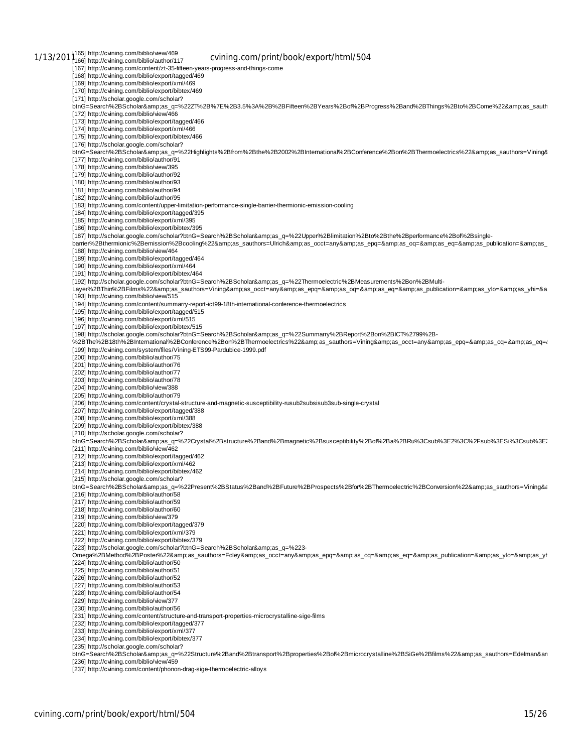1/13/201 165] http://cvining.com/biblio/view/469<br>1/13/201 166] http://cvining.com/biblio/author/117 cvining.com/print/book/export/html/504 [167] http://cvining.com/content/zt-35-fifteen-years-progress-and-things-come [168] http://cvining.com/biblio/export/tagged/469 [169] http://cvining.com/biblio/export/xml/469 [170] http://cvining.com/biblio/export/bibtex/469 [171] http://scholar.google.com/scholar?<br>btnG=Search%2BScholar&amp;as\_q=%22ZT%2B%7E%2B3.5%3A%2B%2BFifteen%2BYears%2Bof%2BProgress%2Band%2BThings%2Bto%2BCome%22&amp;as\_sauth [172] http://cvining.com/biblio/view/466 [173] http://cvining.com/biblio/export/tagged/466 [174] http://cvining.com/biblio/export/xml/466 [175] http://cvining.com/biblio/export/bibtex/466 [176] http://scholar.google.com/scholar? btnG=Search%2BScholar&as\_q=%22Highlights%2Bfrom%2Bthe%2B2002%2BInternational%2BConference%2Bon%2BThermoelectrics%22&as\_sauthors=Vining& [177] http://cvining.com/biblio/author/91 [178] http://cvining.com/biblio/view/395 [179] http://cvining.com/biblio/author/92 [180] http://cvining.com/biblio/author/93 [181] http://cvining.com/biblio/author/94 [182] http://cvining.com/biblio/author/95 [183] http://cvining.com/content/upper-limitation-performance-single-barrier-thermionic-emission-cooling [184] http://cvining.com/biblio/export/tagged/395 [185] http://cvining.com/biblio/export/xml/395 [186] http://cvining.com/biblio/export/bibtex/395 [187] http://scholar.google.com/scholar?btnG=Search%2BScholar&as\_q=%22Upper%2Blimitation%2Bto%2Bthe%2Bperformance%2Bof%2Bsinglebarrier%2Bthermionic%2Bemission%2Bcooling%22&as\_sauthors=Ulrich&as\_occt=any&as\_epq=&as\_oq=&as\_publication=&as\_ [188] http://cvining.com/biblio/view/464 [189] http://cvining.com/biblio/export/tagged/464 [190] http://cvining.com/biblio/export/xml/464 [191] http://cvining.com/biblio/export/bibtex/464 [192] http://scholar.google.com/scholar?btnG=Search%2BScholar&as\_q=%22Thermoelectric%2BMeasurements%2Bon%2BMulti-.<br>Layer%2BThin%2BFilms%22&amp;as\_sauthors=Vining&amp;as\_occt=any&amp;as\_epq=&amp;as\_oq=&amp;as\_eq=&amp;as\_publication=&amp;as\_ylo=&amp;as\_yhi=&a [193] http://cvining.com/biblio/view/515 [194] http://cvining.com/content/summarry-report-ict99-18th-international-conference-thermoelectrics [195] http://cvining.com/biblio/export/tagged/515 [196] http://cvining.com/biblio/export/xml/515 [197] http://cvining.com/biblio/export/bibtex/515<br>[198] http://scholar.google.com/scholar?btnG=Search%2BScholar&amp;as\_q=%22Summarry%2BReport%2Bon%2BICT%2799%2B-.<br>%2BThe%2B18th%2BInternational%2BConference%2Bon%2BThermoelectrics%22&amp;as\_sauthors=Vining&amp;as\_occt=any&amp;as\_epq=&amp;as\_eq=&amp;as\_eq={ [199] http://cvining.com/system/files/Vining-ETS99-Pardubice-1999.pdf [200] http://cvining.com/biblio/author/75 [201] http://cvining.com/biblio/author/76 [202] http://cvining.com/biblio/author/77 [203] http://cvining.com/biblio/author/78 [204] http://cvining.com/biblio/view/388 [205] http://cvining.com/biblio/author/79 [206] http://cvining.com/content/crystal-structure-and-magnetic-susceptibility-rusub2subsisub3sub-single-crystal [207] http://cvining.com/biblio/export/tagged/388 [208] http://cvining.com/biblio/export/xml/388 [209] http://cvining.com/biblio/export/bibtex/388 [210] http://scholar.google.com/scholar? btnG=Search%2BScholar&as\_q=%22Crystal%2Bstructure%2Band%2Bmagnetic%2Bsusceptibility%2Bof%2Ba%2BRu%3Csub%3E2%3C%2Fsub%3ESi%3Csub%3E [211] http://cvining.com/biblio/view/462 [212] http://cvining.com/biblio/export/tagged/462 [213] http://cvining.com/biblio/export/xml/462 [214] http://cvining.com/biblio/export/bibtex/462 [215] http://scholar.google.com/scholar? btnG=Search%2BScholar&as\_q=%22Present%2BStatus%2Band%2BFuture%2BProspects%2Bfor%2BThermoelectric%2BConversion%22&as\_sauthors=Vining&a [216] http://cvining.com/biblio/author/58 [217] http://cvining.com/biblio/author/59 [218] http://cvining.com/biblio/author/60 [219] http://cvining.com/biblio/view/379 [220] http://cvining.com/biblio/export/tagged/379 [221] http://cvining.com/biblio/export/xml/379 [222] http://cvining.com/biblio/export/bibtex/379 [223] http://scholar.google.com/scholar?btnG=Search%2BScholar&as\_q=%223-Omega%2BMethod%2BPoster%22&as\_sauthors=Foley&as\_occt=any&as\_epq=&as\_oq=&as\_eq=&as\_publication=&as\_ylo=&as\_yl [224] http://cvining.com/biblio/author/50 [225] http://cvining.com/biblio/author/51 [226] http://cvining.com/biblio/author/52 [227] http://cvining.com/biblio/author/53 [228] http://cvining.com/biblio/author/54 [229] http://cvining.com/biblio/view/377 [230] http://cvining.com/biblio/author/56 [231] http://cvining.com/content/structure-and-transport-properties-microcrystalline-sige-films [232] http://cvining.com/biblio/export/tagged/377 [233] http://cvining.com/biblio/export/xml/377 [234] http://cvining.com/biblio/export/bibtex/377 [235] http://scholar.google.com/scholar? btnG=Search%2BScholar&as\_q=%22Structure%2Band%2Btransport%2Bproperties%2Bof%2Bmicrocrystalline%2BSiGe%2Bfilms%22&as\_sauthors=Edelman&an [236] http://cvining.com/biblio/view/459 [237] http://cvining.com/content/phonon-drag-sige-thermoelectric-alloys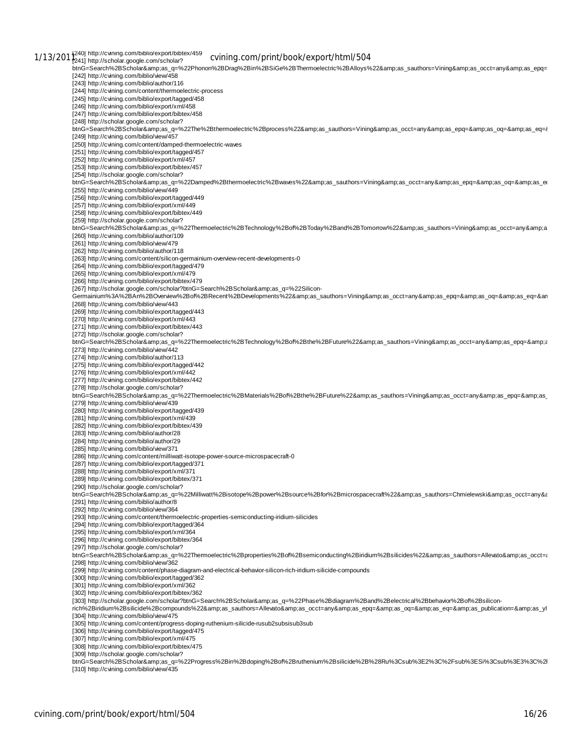1/13/201<sup>240]</sup> http://cvining.com/biblio/export/bibtex/459 cvining.com/print/book/export/html/504 t-m-G=Search%2BScholar&amp.as\_q=%22Phonon%2BDrag%2Bin%2BSiGe%2BThermoelectric%2BAlloys%22&as\_sauthors=Vining&as\_occt=any&as\_epq= [242] http://cvining.com/biblio/view/458 [243] http://cvining.com/biblio/author/116 [244] http://cvining.com/content/thermoelectric-process [245] http://cvining.com/biblio/export/tagged/458 [246] http://cvining.com/biblio/export/xml/458 [247] http://cvining.com/biblio/export/bibtex/458 [248] http://scholar.google.com/scholar?<br>btnG=Search%2BScholar&amp;as\_q=%22The%2Bthermoelectric%2Bprocess%22&amp;as\_sauthors=Vining&amp;as\_occt=any&amp;as\_epq=&amp;as\_oq=&amp;as\_eq={ [249] http://cvining.com/biblio/view/457 [250] http://cvining.com/content/damped-thermoelectric-waves [251] http://cvining.com/biblio/export/tagged/457 [252] http://cvining.com/biblio/export/xml/457 [253] http://cvining.com/biblio/export/bibtex/457 [254] http://scholar.google.com/scholar? btnG=Search%2BScholar&as\_q=%22Damped%2Bthermoelectric%2Bwaves%22&as\_sauthors=Vining&as\_occt=any&as\_epq=&as\_oq=&as\_ex [255] http://cvining.com/biblio/view/449 [256] http://cvining.com/biblio/export/tagged/449 [257] http://cvining.com/biblio/export/xml/449 [258] http://cvining.com/biblio/export/bibtex/449 [259] http://scholar.google.com/scholar? btnG=Search%2BScholar&as\_q=%22Thermoelectric%2BTechnology%2Bof%2BToday%2Band%2BTomorrow%22&as\_sauthors=Vining&as\_occt=any&a [260] http://cvining.com/biblio/author/109 [261] http://cvining.com/biblio/view/479 [262] http://cvining.com/biblio/author/118 [263] http://cvining.com/content/silicon-germainium-overview-recent-developments-0 [264] http://cvining.com/biblio/export/tagged/479 [265] http://cvining.com/biblio/export/xml/479 [266] http://cvining.com/biblio/export/bibtex/479 [267] http://scholar.google.com/scholar?btnG=Search%2BScholar&as\_q=%22Silicon-Germainium%3A%2BAn%2BOverview%2Bof%2BRecent%2BDevelopments%22&as\_sauthors=Vining&as\_occt=any&as\_epq=&as\_eq=&anp;as\_eq=&an [268] http://cvining.com/biblio/view/443 [269] http://cvining.com/biblio/export/tagged/443 [270] http://cvining.com/biblio/export/xml/443 [271] http://cvining.com/biblio/export/bibtex/443 [272] http://scholar.google.com/scholar? btnG=Search%2BScholar&as\_q=%22Thermoelectric%2BTechnology%2Bof%2Bthe%2BFuture%22&as\_sauthors=Vining&as\_occt=any&as\_epq=&a [273] http://cvining.com/biblio/view/442 [274] http://cvining.com/biblio/author/113 [275] http://cvining.com/biblio/export/tagged/442 [276] http://cvining.com/biblio/export/xml/442 [277] http://cvining.com/biblio/export/bibtex/442 [278] http://scholar.google.com/scholar? btnG=Search%2BScholar&as\_q=%22Thermoelectric%2BMaterials%2Bof%2Bthe%2BFuture%22&as\_sauthors=Vining&as\_occt=any&as\_epq=&as\_ [279] http://cvining.com/biblio/view/439 [280] http://cvining.com/biblio/export/tagged/439 [281] http://cvining.com/biblio/export/xml/439 [282] http://cvining.com/biblio/export/bibtex/439 [283] http://cvining.com/biblio/author/28 [284] http://cvining.com/biblio/author/29 [285] http://cvining.com/biblio/view/371 [286] http://cvining.com/content/milliwatt-isotope-power-source-microspacecraft-0 [287] http://cvining.com/biblio/export/tagged/371 [288] http://cvining.com/biblio/export/xml/371 [289] http://cvining.com/biblio/export/bibtex/371 [290] http://scholar.google.com/scholar? btnG=Search%2BScholar&as\_q=%22Milliwatt%2Bisotope%2Bpower%2Bsource%2Bfor%2Bmicrospacecraft%22&as\_sauthors=Chmielewski&as\_occt=any&a [291] http://cvining.com/biblio/author/8 [292] http://cvining.com/biblio/view/364 [293] http://cvining.com/content/thermoelectric-properties-semiconducting-iridium-silicides [294] http://cvining.com/biblio/export/tagged/364 [295] http://cvining.com/biblio/export/xml/364 [296] http://cvining.com/biblio/export/bibtex/364 [297] http://scholar.google.com/scholar? btnG=Search%2BScholar&as\_q=%22Thermoelectric%2Bproperties%2Bof%2Bsemiconducting%2Biridium%2Bsilicides%22&as\_sauthors=Allevato&as\_occt=as [298] http://cvining.com/biblio/view/362 [299] http://cvining.com/content/phase-diagram-and-electrical-behavior-silicon-rich-iridium-silicide-compounds [300] http://cvining.com/biblio/export/tagged/362 [301] http://cvining.com/biblio/export/xml/362 [302] http://cvining.com/biblio/export/bibtex/362 [303] http://scholar.google.com/scholar?btnG=Search%2BScholar&as\_q=%22Phase%2Bdiagram%2Band%2Belectrical%2Bbehavior%2Bof%2Bsilicon-<br>rich%2Biridium%2Bsilicide%2Bcompounds%22&amp;as\_sauthors=Allevato&amp;as\_occt=any&amp; [304] http://cvining.com/biblio/view/475 [305] http://cvining.com/content/progress-doping-ruthenium-silicide-rusub2subsisub3sub [306] http://cvining.com/biblio/export/tagged/475 [307] http://cvining.com/biblio/export/xml/475 [308] http://cvining.com/biblio/export/bibtex/475 [309] http://scholar.google.com/scholar? btnG=Search%2BScholar&as\_q=%22Progress%2Bin%2Bdoping%2Bof%2Bruthenium%2Bsilicide%2B%28Ru%3Csub%3E2%3C%2Fsub%3ESi%3Csub%3E3%3C%2l [310] http://cvining.com/biblio/view/435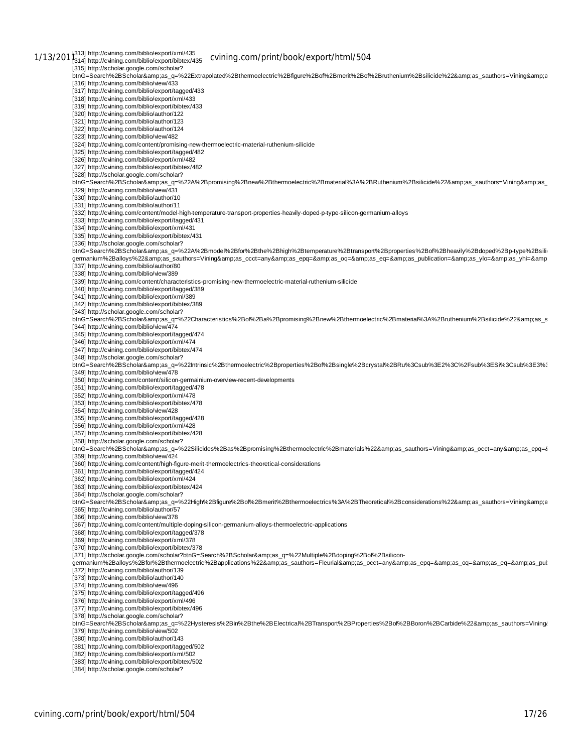1/13/201<sup>313]</sup> http://cvining.com/biblio/export/xml/435<br>1/13/201<sup>3</sup>314] http://cvining.com/biblio/export/bibtex/435 C**vining.com/print/book/export/html/504** [315] http://scholar.google.com/scholar? btnG=Search%2BScholar&amp:as\_q=%22Extrapolated%2Bthermoelectric%2Bfigure%2Bof%2Bmerit%2Bof%2Bruthenium%2Bsilicide%22&amp:as\_sauthors=Vining&amp:a [316] http://cvining.com/biblio/view/433 [317] http://cvining.com/biblio/export/tagged/433 [318] http://cvining.com/biblio/export/xml/433 [319] http://cvining.com/biblio/export/bibtex/433 [320] http://cvining.com/biblio/author/122 [321] http://cvining.com/biblio/author/123 [322] http://cvining.com/biblio/author/124 [323] http://cvining.com/biblio/view/482 [324] http://cvining.com/content/promising-new-thermoelectric-material-ruthenium-silicide [325] http://cvining.com/biblio/export/tagged/482 [326] http://cvining.com/biblio/export/xml/482 [327] http://cvining.com/biblio/export/bibtex/482 [328] http://scholar.google.com/scholar? btnG=Search%2BScholar&as\_q=%22A%2Bpromising%2Bnew%2Bthermoelectric%2Bmaterial%3A%2BRuthenium%2Bsilicide%22&as\_sauthors=Vining&as\_ [329] http://cvining.com/biblio/view/431 [330] http://cvining.com/biblio/author/10 [331] http://cvining.com/biblio/author/11 [332] http://cvining.com/content/model-high-temperature-transport-properties-heavily-doped-p-type-silicon-germanium-alloys [333] http://cvining.com/biblio/export/tagged/431 [334] http://cvining.com/biblio/export/xml/431 [335] http://cvining.com/biblio/export/bibtex/431 [336] http://scholar.google.com/scholar? btnG=Search%2BScholar&as\_q=%22A%2Bmodel%2Bfor%2Bthe%2Bhigh%2Btemperature%2Btransport%2Bproperties%2Bof%2Bheavily%2Bdoped%2Bp-type%2Bsili germanium%2Balloys%22&as\_sauthors=Vining&as\_occt=any&as\_epq=&as\_oq=&as\_eq=&as\_publication=&as\_ylo=&as\_yhi=&amp [337] http://cvining.com/biblio/author/80 [338] http://cvining.com/biblio/view/389 [339] http://cvining.com/content/characteristics-promising-new-thermoelectric-material-ruthenium-silicide [340] http://cvining.com/biblio/export/tagged/389 [341] http://cvining.com/biblio/export/xml/389 [342] http://cvining.com/biblio/export/bibtex/389 [343] http://scholar.google.com/scholar? btnG=Search%2BScholar&as\_q=%22Characteristics%2Bof%2Ba%2Bpromising%2Bnew%2Bthermoelectric%2Bmaterial%3A%2Bruthenium%2Bsilicide%22&as\_s [344] http://cvining.com/biblio/view/474 [345] http://cvining.com/biblio/export/tagged/474 [346] http://cvining.com/biblio/export/xml/474 [347] http://cvining.com/biblio/export/bibtex/474 [348] http://scholar.google.com/scholar? btnG=Search%2BScholar&as\_q=%22Intrinsic%2Bthermoelectric%2Bproperties%2Bof%2Bsingle%2Bcrystal%2BRu%3Csub%3E2%3C%2Fsub%3ESi%3Csub%3E3%3 [349] http://cvining.com/biblio/view/478 [350] http://cvining.com/content/silicon-germainium-overview-recent-developments [351] http://cvining.com/biblio/export/tagged/478 [352] http://cvining.com/biblio/export/xml/478 [353] http://cvining.com/biblio/export/bibtex/478 [354] http://cvining.com/biblio/view/428 [355] http://cvining.com/biblio/export/tagged/428 [356] http://cvining.com/biblio/export/xml/428 [357] http://cvining.com/biblio/export/bibtex/428 [358] http://scholar.google.com/scholar? btnG=Search%2BScholar&as\_q=%22Silicides%2Bas%2Bpromising%2Bthermoelectric%2Bmaterials%22&as\_sauthors=Vining&as\_occt=any&as\_epq=& [359] http://cvining.com/biblio/view/424 [360] http://cvining.com/content/high-figure-merit-thermoelectrics-theoretical-considerations [361] http://cvining.com/biblio/export/tagged/424 [362] http://cvining.com/biblio/export/xml/424 [363] http://cvining.com/biblio/export/bibtex/424 [364] http://scholar.google.com/scholar? btnG=Search%2BScholar&as\_q=%22High%2Bfigure%2Bof%2Bmerit%2Bthermoelectrics%3A%2BTheoretical%2Bconsiderations%22&as\_sauthors=Vining&a [365] http://cvining.com/biblio/author/57 [366] http://cvining.com/biblio/view/378 [367] http://cvining.com/content/multiple-doping-silicon-germanium-alloys-thermoelectric-applications [368] http://cvining.com/biblio/export/tagged/378 [369] http://cvining.com/biblio/export/xml/378 [370] http://cvining.com/biblio/export/bibtex/378 [371] http://scholar.google.com/scholar?btnG=Search%2BScholar&as\_q=%22Multiple%2Bdoping%2Bof%2Bsiliconqermanium%2Balloys%2Bfor%2Bthermoelectric%2Bapplications%22&amp.as sauthors=Fleurial&amp:as occt=any&amp:as epq=&amp:as oq=&amp:as eq=&amp:as eq=&amp:as as [372] http://cvining.com/biblio/author/139 [373] http://cvining.com/biblio/author/140 [374] http://cvining.com/biblio/view/496 [375] http://cvining.com/biblio/export/tagged/496 [376] http://cvining.com/biblio/export/xml/496 [377] http://cvining.com/biblio/export/bibtex/496 [378] http://scholar.google.com/scholar? btnG=Search%2BScholar&as\_q=%22Hysteresis%2Bin%2Bthe%2BElectrical%2BTransport%2BProperties%2Bof%2BBoron%2BCarbide%22&as\_sauthors=Vining& [379] http://cvining.com/biblio/view/502 [380] http://cvining.com/biblio/author/143 [381] http://cvining.com/biblio/export/tagged/502 [382] http://cvining.com/biblio/export/xml/502 [383] http://cvining.com/biblio/export/bibtex/502 [384] http://scholar.google.com/scholar?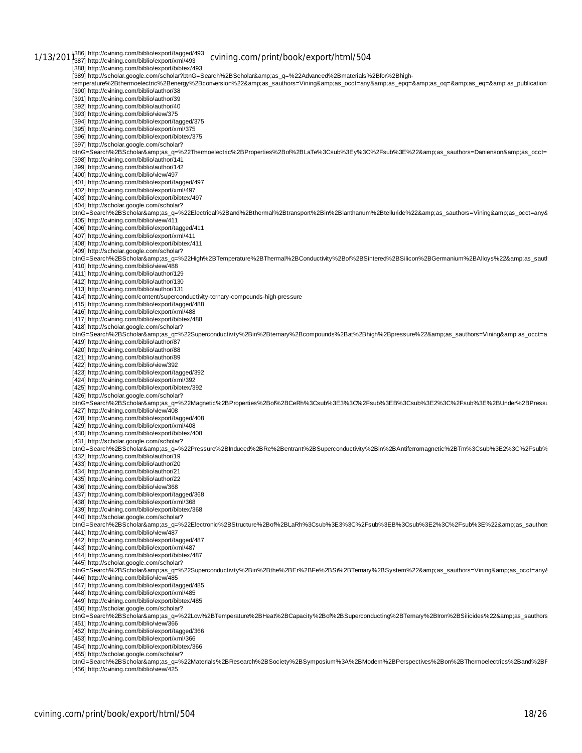1/13/201<sup>386]</sup> http://cvining.com/biblio/export/tagged/493 cv**ining.com/print/book/export/html/504**<br>1/13/201<sup>3</sup>887] http://cvining.com/biblio/export/xml/493 cv**ining.com/print/book/export/html/504** [388] http://cvining.com/biblio/export/bibtex/493 [389] http://scholar.google.com/scholar?btnG=Search%2BScholar&as\_q=%22Advanced%2Bmaterials%2Bfor%2Bhightemperature%2Bthermoelectric%2Benergy%2Bconversion%22&as\_sauthors=Vining&as\_occt=any&as\_epq=&as\_noq=&as\_eq=&as\_publication= [390] http://cvining.com/biblio/author/38 [391] http://cvining.com/biblio/author/39 [392] http://cvining.com/biblio/author/40 [393] http://cvining.com/biblio/view/375 [394] http://cvining.com/biblio/export/tagged/375 [395] http://cvining.com/biblio/export/xml/375 [396] http://cvining.com/biblio/export/bibtex/375 [397] http://scholar.google.com/scholar? btnG=Search%2BScholar&as\_q=%22Thermoelectric%2BProperties%2Bof%2BLaTe%3Csub%3Ey%3C%2Fsub%3E%22&as\_sauthors=Danienson&as\_occt= [398] http://cvining.com/biblio/author/141 [399] http://cvining.com/biblio/author/142 [400] http://cvining.com/biblio/view/497 [401] http://cvining.com/biblio/export/tagged/497 [402] http://cvining.com/biblio/export/xml/497 [403] http://cvining.com/biblio/export/bibtex/497 [404] http://scholar.google.com/scholar? btnG=Search%2BScholar&as\_q=%22Electrical%2Band%2Bthermal%2Btransport%2Bin%2Blanthanum%2Btelluride%22&as\_sauthors=Vining&as\_occt=any& [405] http://cvining.com/biblio/view/411 [406] http://cvining.com/biblio/export/tagged/411 [407] http://cvining.com/biblio/export/xml/411 [408] http://cvining.com/biblio/export/bibtex/411 [409] http://scholar.google.com/scholar? btnG=Search%2BScholar&as\_q=%22High%2BTemperature%2BThermal%2BConductivity%2Bof%2BSintered%2BSilicon%2BGermanium%2BAlloys%22&as\_sauth [410] http://cvining.com/biblio/view/488 [411] http://cvining.com/biblio/author/129 [412] http://cvining.com/biblio/author/130 [413] http://cvining.com/biblio/author/131 [414] http://cvining.com/content/superconductivity-ternary-compounds-high-pressure [415] http://cvining.com/biblio/export/tagged/488 [416] http://cvining.com/biblio/export/xml/488 [417] http://cvining.com/biblio/export/bibtex/488 [418] http://scholar.google.com/scholar? the Search%2BScholar&amp.as\_d=%22Superconductivity%2Bin%2Bternary%2Bcompounds%2Bat%2Bhigh%2Bpressure%22&as\_sauthors=Vining&as\_occt=a<br>http:=Search%2BScholar&amp;as\_g=%22Superconductivity%2Bin%2Bternary%2Bcompounds% [419] http://cvining.com/biblio/author/87 [420] http://cvining.com/biblio/author/88 [421] http://cvining.com/biblio/author/89 [422] http://cvining.com/biblio/view/392 [423] http://cvining.com/biblio/export/tagged/392 [424] http://cvining.com/biblio/export/xml/392 [425] http://cvining.com/biblio/export/bibtex/392 [426] http://scholar.google.com/scholar? btnG=Search%2BScholar&as\_q=%22Magnetic%2BProperties%2Bof%2BCeRh%3Csub%3E3%3C%2Fsub%3EB%3Csub%3E2%3C%2Fsub%3E%2BUnder%2BPressu [427] http://cvining.com/biblio/view/408 [428] http://cvining.com/biblio/export/tagged/408 [429] http://cvining.com/biblio/export/xml/408 [430] http://cvining.com/biblio/export/bibtex/408 [431] http://scholar.google.com/scholar? .<br>btnG=Search%2BScholar&amp;as\_q=%22Pressure%2BInduced%2BRe%2Bentrant%2BSuperconductivity%2Bin%2BAntiferromagnetic%2BTm%3Csub%3E2%3C%2Fsub% [432] http://cvining.com/biblio/author/19 [433] http://cvining.com/biblio/author/20 [434] http://cvining.com/biblio/author/21 [435] http://cvining.com/biblio/author/22 [436] http://cvining.com/biblio/view/368 [437] http://cvining.com/biblio/export/tagged/368 [438] http://cvining.com/biblio/export/xml/368 [439] http://cvining.com/biblio/export/bibtex/368 [440] http://scholar.google.com/scholar? btnG=Search%2BScholar&as\_q=%22Electronic%2BStructure%2Bof%2BLaRh%3Csub%3E3%3C%2Fsub%3EB%3Csub%3E2%3C%2Fsub%3E%22&as\_sauthors [441] http://cvining.com/biblio/view/487 [442] http://cvining.com/biblio/export/tagged/487 [443] http://cvining.com/biblio/export/xml/487 [444] http://cvining.com/biblio/export/bibtex/487 [445] http://scholar.google.com/scholar? btnG=Search%2BScholar&as\_q=%22Superconductivity%2Bin%2Bthe%2BEr%2BFe%2BSi%2BTernary%2BSystem%22&as\_sauthors=Vining&as\_occt=any& [446] http://cvining.com/biblio/view/485 [447] http://cvining.com/biblio/export/tagged/485 [448] http://cvining.com/biblio/export/xml/485 [449] http://cvining.com/biblio/export/bibtex/485 [450] http://scholar.google.com/scholar? btnG=Search%2BScholar&as\_q=%22Low%2BTemperature%2BHeat%2BCapacity%2Bof%2BSuperconducting%2BTernary%2BIron%2BSilicides%22&as\_sauthors [451] http://cvining.com/biblio/view/366 [452] http://cvining.com/biblio/export/tagged/366 [453] http://cvining.com/biblio/export/xml/366 [454] http://cvining.com/biblio/export/bibtex/366 [455] http://scholar.google.com/scholar? btnG=Search%2BScholar&as\_q=%22Materials%2BResearch%2BSociety%2BSymposium%3A%2BModern%2BPerspectives%2Bon%2BThermoelectrics%2Band%2BF [456] http://cvining.com/biblio/view/425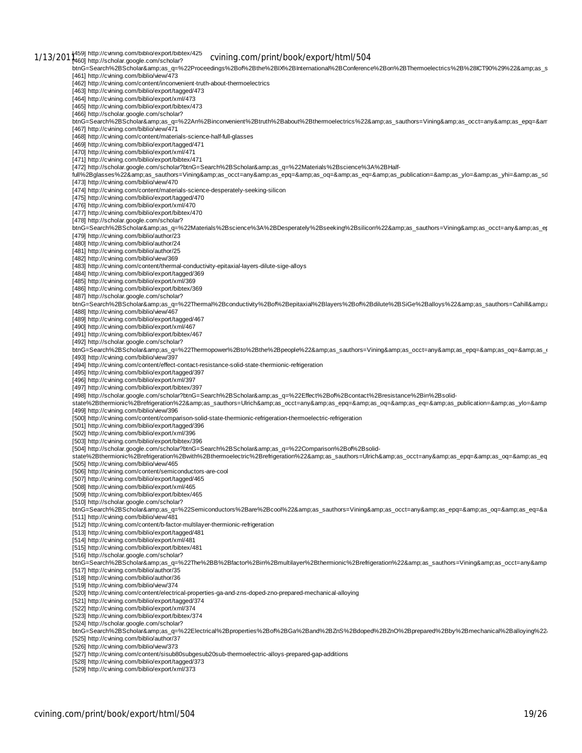[464] http://cvining.com/biblio/export/xml/473 [465] http://cvining.com/biblio/export/bibtex/473 [466] http://scholar.google.com/scholar? btnG=Search%2BScholar&as\_q=%22An%2Binconvenient%2Btruth%2Babout%2Bthermoelectrics%22&as\_sauthors=Vining&as\_occt=any&as\_epq=&am<br>[467] http://cvining.com/biblio/view/471 [468] http://cvining.com/content/materials-science-half-full-glasses [469] http://cvining.com/biblio/export/tagged/471 [470] http://cvining.com/biblio/export/xml/471 [471] http://cvining.com/biblio/export/bibtex/471 [472] http://scholar.google.com/scholar?btnG=Search%2BScholar&as\_q=%22Materials%2Bscience%3A%2BHalffull%2Bglasses%22&as\_sauthors=Vining&as\_occt=any&as\_epq=&as\_oq=&as\_eq=&as\_publication=&as\_ylo=&as\_yhi=&as\_sd [473] http://cvining.com/biblio/view/470 [474] http://cvining.com/content/materials-science-desperately-seeking-silicon [475] http://cvining.com/biblio/export/tagged/470 [476] http://cvining.com/biblio/export/xml/470 [477] http://cvining.com/biblio/export/bibtex/470 [478] http://scholar.google.com/scholar? btnG=Search%2BScholar&as\_q=%22Materials%2Bscience%3A%2BDesperately%2Bseeking%2Bsilicon%22&as\_sauthors=Vining&as\_occt=any&as\_ep [479] http://cvining.com/biblio/author/23 [480] http://cvining.com/biblio/author/24 [481] http://cvining.com/biblio/author/25 [482] http://cvining.com/biblio/view/369 [483] http://cvining.com/content/thermal-conductivity-epitaxial-layers-dilute-sige-alloys [484] http://cvining.com/biblio/export/tagged/369 [485] http://cvining.com/biblio/export/xml/369 [486] http://cvining.com/biblio/export/bibtex/369 [487] http://scholar.google.com/scholar? btnG=Search%2BScholar&as\_q=%22Thermal%2Bconductivity%2Bof%2Bepitaxial%2Blayers%2Bof%2Bdilute%2BSiGe%2Balloys%22&as\_sauthors=Cahill&a [488] http://cvining.com/biblio/view/467 [489] http://cvining.com/biblio/export/tagged/467 [490] http://cvining.com/biblio/export/xml/467 [491] http://cvining.com/biblio/export/bibtex/467 [492] http://scholar.google.com/scholar?  ${\color{red} \texttt{btnG=Search%2BS}}\text{cholar} \& \text{amp}; \text{as\_q=%22} \\\text{Thermopower%2Bto%2Bthe%2Bpeople%22} \& \text{map}; \text{as\_sauthors=V} \\\text{ining} \& \text{amp}; \text{as\_oct=any} \& \text{amp}; \text{as\_eq=&as\_eq=&as\_eq=&as\_eq=&as\_eq=&as\_eq=&as\_eq=&as\_eq=&as\_eq=&as\_eq=&as\_eq=&as\_eq=$ [493] http://cvining.com/biblio/view/397 [494] http://cvining.com/content/effect-contact-resistance-solid-state-thermionic-refrigeration [495] http://cvining.com/biblio/export/tagged/397 [496] http://cvining.com/biblio/export/xml/397 [497] http://cvining.com/biblio/export/bibtex/397 [498] http://scholar.google.com/scholar?btnG=Search%2BScholar&as\_q=%22Effect%2Bof%2Bcontact%2Bresistance%2Bin%2Bsolidstate%2Bthermionic%2Brefrigeration%22&as\_sauthors=Ulrich&as\_occt=any&as\_epq=&as\_oq=&as\_eq=&as\_publication=&as\_ylo=&amp [499] http://cvining.com/biblio/view/396 [500] http://cvining.com/content/comparison-solid-state-thermionic-refrigeration-thermoelectric-refrigeration [501] http://cvining.com/biblio/export/tagged/396 [502] http://cvining.com/biblio/export/xml/396 [503] http://cvining.com/biblio/export/bibtex/396 [504] http://scholar.google.com/scholar?btnG=Search%2BScholar&as\_q=%22Comparison%2Bof%2Bsolidstate%2Bthermionic%2Brefrigeration%2Bwith%2Bthermoelectric%2Brefrigeration%22&as\_sauthors=Ulrich&as\_occt=any&as\_epq=&as\_oq=&as\_ep [505] http://cvining.com/biblio/view/465 [506] http://cvining.com/content/semiconductors-are-cool [507] http://cvining.com/biblio/export/tagged/465 [508] http://cvining.com/biblio/export/xml/465 [509] http://cvining.com/biblio/export/bibtex/465 [510] http://scholar.google.com/scholar? btnG=Search%2BScholar&as\_q=%22Semiconductors%2Bare%2Bcool%22&as\_sauthors=Vining&as\_occt=any&as\_epq=&as\_oq=&as\_eq=&a [511] http://cvining.com/biblio/view/481 [512] http://cvining.com/content/b-factor-multilayer-thermionic-refrigeration [513] http://cvining.com/biblio/export/tagged/481 [514] http://cvining.com/biblio/export/xml/481 [515] http://cvining.com/biblio/export/bibtex/481 [516] http://scholar.google.com/scholar? btnG=Search%2BScholar&amp:as\_q=%22The%2BB%2Bfactor%2Bin%2Bmultilayer%2Bthermionic%2Brefrigeration%22&as\_sauthors=Vining&amp:as\_occt=any&amp [517] http://cvining.com/biblio/author/35 [518] http://cvining.com/biblio/author/36 [519] http://cvining.com/biblio/view/374 [520] http://cvining.com/content/electrical-properties-ga-and-zns-doped-zno-prepared-mechanical-alloying [521] http://cvining.com/biblio/export/tagged/374 [522] http://cvining.com/biblio/export/xml/374 [523] http://cvining.com/biblio/export/bibtex/374 [524] http://scholar.google.com/scholar?<br>btnG=Search%2BScholar&amp;as\_q=%22Electrical%2Bproperties%2Bof%2BGa%2Band%2BZnS%2Bdoped%2BZnO%2Bprepared%2Bby%2Bmechanical%2Balloying%22⊦ [525] http://cvining.com/biblio/author/37 [526] http://cvining.com/biblio/view/373 [527] http://cvining.com/content/sisub80subgesub20sub-thermoelectric-alloys-prepared-gap-additions [528] http://cvining.com/biblio/export/tagged/373 [529] http://cvining.com/biblio/export/xml/373

th-G=Search%2BScholar&as\_q=%22Proceedings%2Bof%2Bthe%2BIX%2BInternational%2BConference%2Bon%2BThermoelectrics%2B%28ICT90%29%22&as\_s<br>btnG=Search%2BScholar&amp;as\_q=%22Proceedings%2Bof%2Bthe%2BIX%2BInternational%2BCo

1/13/201<sup>1459]</sup> http://cvining.com/biblio/export/bibtex/425 cv**ining.com/print/book/export/html/504** 

[462] http://cvining.com/content/inconvenient-truth-about-thermoelectrics

[461] http://cvining.com/biblio/view/473

[463] http://cvining.com/biblio/export/tagged/473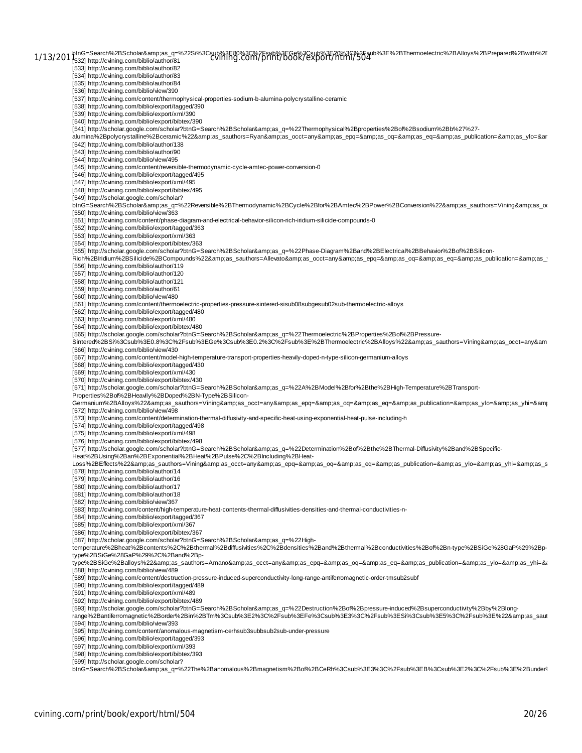1/13/201 ptnG=Search%2BScholar&as\_q=%22Si%3Csub%3E80%3C%2Fsub%3E6e%3Csub%3E20%3C%2F5ub%3E%2BThermoelectric%2BAlloys%2BPrepared%2Bwith%2E<br>CVINING.COM/DTIN(/DOOK/EXPOTT/NtMI/SO4 [533] http://cvining.com/biblio/author/82 [534] http://cvining.com/biblio/author/83 [535] http://cvining.com/biblio/author/84 [536] http://cvining.com/biblio/view/390 [537] http://cvining.com/content/thermophysical-properties-sodium-b-alumina-polycrystalline-ceramic [538] http://cvining.com/biblio/export/tagged/390 [539] http://cvining.com/biblio/export/xml/390 [540] http://cvining.com/biblio/export/bibtex/390 [541] http://scholar.google.com/scholar?btnG=Search%2BScholar&as\_q=%22Thermophysical%2Bproperties%2Bof%2Bsodium%2Bb%27%27 alumina%2Bpolycrystalline%2Bceramic%22&as\_sauthors=Ryan&as\_occt=any&as\_epq=&as\_oq=&as\_eq=&as\_publication=&as\_ylo=&ar [542] http://cvining.com/biblio/author/138 [543] http://cvining.com/biblio/author/90 [544] http://cvining.com/biblio/view/495 [545] http://cvining.com/content/reversible-thermodynamic-cycle-amtec-power-conversion-0 [546] http://cvining.com/biblio/export/tagged/495 [547] http://cvining.com/biblio/export/xml/495 [548] http://cvining.com/biblio/export/bibtex/495 [549] http://scholar.google.com/scholar? btnG=Search%2BScholar&as\_q=%22Reversible%2BThermodynamic%2BCycle%2Bfor%2BAmtec%2BPower%2BConversion%22&as\_sauthors=Vining&as\_oc [550] http://cvining.com/biblio/view/363 [551] http://cvining.com/content/phase-diagram-and-electrical-behavior-silicon-rich-iridium-silicide-compounds-0 [552] http://cvining.com/biblio/export/tagged/363 [553] http://cvining.com/biblio/export/xml/363 [554] http://cvining.com/biblio/export/bibtex/363 [555] http://scholar.google.com/scholar?btnG=Search%2BScholar&as\_q=%22Phase-Diagram%2Band%2BElectrical%2BBehavior%2Bof%2BSilicon-Rich%2BIridium%2BSilicide%2BCompounds%22&as\_sauthors=Allevato&as\_occt=any&as\_epq=&as\_oq=&as\_eq=&as\_publication=&as\_y [556] http://cvining.com/biblio/author/119 [557] http://cvining.com/biblio/author/120 [558] http://cvining.com/biblio/author/121 [559] http://cvining.com/biblio/author/61 [560] http://cvining.com/biblio/view/480 [561] http://cvining.com/content/thermoelectric-properties-pressure-sintered-sisub08subgesub02sub-thermoelectric-alloys [562] http://cvining.com/biblio/export/tagged/480 [563] http://cvining.com/biblio/export/xml/480 [564] http://cvining.com/biblio/export/bibtex/480 [565] http://scholar.google.com/scholar?btnG=Search%2BScholar&as\_q=%22Thermoelectric%2BProperties%2Bof%2BPressure-Sintered%2BSi%3Csub%3E0.8%3C%2Fsub%3EGe%3Csub%3E0.2%3C%2Fsub%3E%2BThermoelectric%2BAlloys%22&as\_sauthors=Vining&as\_occt=any&am [566] http://cvining.com/biblio/view/430 [567] http://cvining.com/content/model-high-temperature-transport-properties-heavily-doped-n-type-silicon-germanium-alloys [568] http://cvining.com/biblio/export/tagged/430 [569] http://cvining.com/biblio/export/xml/430 [570] http://cvining.com/biblio/export/bibtex/430 [571] http://scholar.google.com/scholar?btnG=Search%2BScholar&as\_q=%22A%2BModel%2Bfor%2Bthe%2BHigh-Temperature%2BTransport-Properties%2Bof%2BHeavily%2BDoped%2BN-Type%2BSilicon-Germanium%2BAlloys%22&as\_sauthors=Vining&as\_occt=any&as\_epq=&as\_oq=&as\_eq=&as\_publication=&as\_ylo=&as\_yhi=&amp [572] http://cvining.com/biblio/view/498 [573] http://cvining.com/content/determination-thermal-diffusivity-and-specific-heat-using-exponential-heat-pulse-including-h [574] http://cvining.com/biblio/export/tagged/498 [575] http://cvining.com/biblio/export/xml/498 [576] http://cvining.com/biblio/export/bibtex/498 [577] http://scholar.google.com/scholar?btnG=Search%2BScholar&as\_q=%22Determination%2Bof%2Bthe%2BThermal-Diffusivity%2Band%2BSpecific-Heat%2BUsing%2Ban%2BExponential%2BHeat%2BPulse%2C%2BIncluding%2BHeat-Loss%2BEffects%22&as\_sauthors=Vining&as\_occt=any&as\_epq=&as\_eq=&as\_eq=&as\_publication=&as\_ylo=&as\_yhi=&as\_s [578] http://cvining.com/biblio/author/14 [579] http://cvining.com/biblio/author/16 [580] http://cvining.com/biblio/author/17 [581] http://cvining.com/biblio/author/18 [582] http://cvining.com/biblio/view/367 [583] http://cvining.com/content/high-temperature-heat-contents-thermal-diffusivities-densities-and-thermal-conductivities-n- [584] http://cvining.com/biblio/export/tagged/367 [585] http://cvining.com/biblio/export/xml/367 [586] http://cvining.com/biblio/export/bibtex/367 [587] http://scholar.google.com/scholar?btnG=Search%2BScholar&as\_q=%22Hightemperature%2Bheat%2Bcontents%2C%2Bthermal%2Bdiffusivities%2C%2Bdensities%2Band%2Bthermal%2Bconductivities%2Bof%2Bn-type%2BSiGe%28GaP%29%2Bptype%2BSiGe%28GaP%29%2C%2Band%2Bptype%2BSiGe%2Balloys%22&as sauthors=Amano&as occt=any&as epq=&as oq=&as eq=&as publication=&as ylo=&as yhi=&as [588] http://cvining.com/biblio/view/489 [589] http://cvining.com/content/destruction-pressure-induced-superconductivity-long-range-antiferromagnetic-order-tmsub2subf [590] http://cvining.com/biblio/export/tagged/489 [591] http://cvining.com/biblio/export/xml/489 [592] http://cvining.com/biblio/export/bibtex/489 .<br>[593] http://scholar.google.com/scholar?btnG=Search%2BScholar&amp:as\_q=%22Destruction%2Bof%2Bpressure-induced%2Bsuperconductivity%2Bby%2Blongrange%2Bantiferromagnetic%2Border%2Bin%2BTm%3Csub%3E2%3C%2Fsub%3E5%3Csub%3E5%3Csub%3E5%3Csub%3E5%3C%2Fsub%3E%asaut<br>Trange%2Bantiferromagnetic%2Border%2Bin%2BTm%3Csub%3E2%3C%2Fsub%3E5%8C%2Fsub%3E5i%3Csub%3E5%3C%2Fsub%3E%asa [594] http://cvining.com/biblio/view/393 [595] http://cvining.com/content/anomalous-magnetism-cerhsub3subbsub2sub-under-pressure [596] http://cvining.com/biblio/export/tagged/393 [597] http://cvining.com/biblio/export/xml/393 [598] http://cvining.com/biblio/export/bibtex/393 [599] http://scholar.google.com/scholar?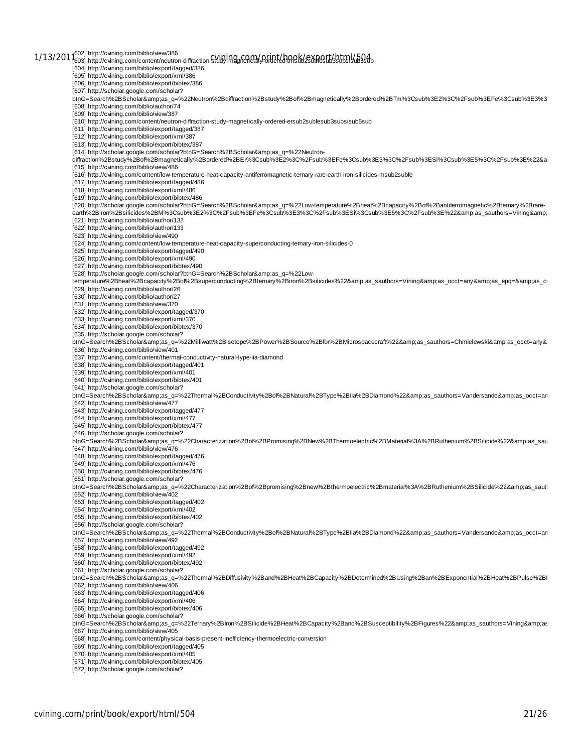1/13/2011<sup>602]</sup> http://cvining.com/biblio/view/386<br>1/13/2011603] http://cvining.com/content/neutron-diffraction-study-ing.html [604] http://cvining.com/biblio/export/tagged/386 [605] http://cvining.com/biblio/export/xml/386 [606] http://cvining.com/biblio/export/bibtex/386 [607] http://scholar.google.com/scholar? btnG=Search%2BScholar&as\_q=%22Neutron%2Bdiffraction%2Bstudy%2Bof%2Bmagnetically%2Bordered%2BTm%3Csub%3E2%3C%2Fsub%3EFe%3Csub%3E3%3 [608] http://cvining.com/biblio/author/74 [609] http://cvining.com/biblio/view/387 [610] http://cvining.com/content/neutron-diffraction-study-magnetically-ordered-ersub2subfesub3subsisub5sub [611] http://cvining.com/biblio/export/tagged/387 [612] http://cvining.com/biblio/export/xml/387 [613] http://cvining.com/biblio/export/bibtex/387 [614] http://scholar.google.com/scholar?btnG=Search%2BScholar&as\_q=%22Neutrondiffraction%2Bstudy%2Bof%2Bmagnetically%2Bordered%2BEr%3Csub%3E2%3C%2Fsub%3EFe%3Csub%3E3%3C%2Fsub%3ESi%3Csub%3E5%3C%2Fsub%3E%22&a [615] http://cvining.com/biblio/view/486 [616] http://cvining.com/content/low-temperature-heat-capacity-antiferromagnetic-ternary-rare-earth-iron-silicides-msub2subfe [617] http://cvining.com/biblio/export/tagged/486 [618] http://cvining.com/biblio/export/xml/486 [619] http://cvining.com/biblio/export/bibtex/486 [620] http://scholar.google.com/scholar?btnG=Search%2BScholar&as\_q=%22Low-temperature%2Bheat%2Bcapacity%2Bof%2Bantiferromagnetic%2Bternary%2Brareearth%2Biron%2Bsilicides%2BM%3Csub%3E2%3C%2Fsub%3EFe%3Csub%3E3%3C%2Fsub%3ESi%3Csub%3E5%3C%2Fsub%3E%22&as\_sauthors=Vining& [621] http://cvining.com/biblio/author/132 [622] http://cvining.com/biblio/author/133 [623] http://cvining.com/biblio/view/490 [624] http://cvining.com/content/low-temperature-heat-capacity-superconducting-ternary-iron-silicides-0 [625] http://cvining.com/biblio/export/tagged/490 [626] http://cvining.com/biblio/export/xml/490 [627] http://cvining.com/biblio/export/bibtex/490 [628] http://scholar.google.com/scholar?btnG=Search%2BScholar&as\_q=%22Lowtemperature%2Bheat%2Bcapacity%2Bof%2Bsuperconducting%2Btemary%2Biron%2Bsilicides%22&as\_sauthors=Vining&as\_occt=any&as\_epq=&as\_o [629] http://cvining.com/biblio/author/26 [630] http://cvining.com/biblio/author/27 [631] http://cvining.com/biblio/view/370 [632] http://cvining.com/biblio/export/tagged/370 [633] http://cvining.com/biblio/export/xml/370 [634] http://cvining.com/biblio/export/bibtex/370 [635] http://scholar.google.com/scholar? btnG=Search%2BScholar&amp:as\_q=%22Milliwatt%2BIsotope%2BPower%2BSource%2Bfor%2BMicrospacecraft%22&amp:as\_sauthors=Chmielewski&amp:as\_occt=any& [636] http://cvining.com/biblio/view/401 [637] http://cvining.com/content/thermal-conductivity-natural-type-iia-diamond [638] http://cvining.com/biblio/export/tagged/401 [639] http://cvining.com/biblio/export/xml/401 [640] http://cvining.com/biblio/export/bibtex/401 [641] http://scholar.google.com/scholar? btnG=Search%2BScholar&as\_q=%22Thermal%2BConductivity%2Bof%2BNatural%2BType%2BIla%2BDiamond%22&as\_sauthors=Vandersande&as\_occt=an [642] http://cvining.com/biblio/view/477 [643] http://cvining.com/biblio/export/tagged/477 [644] http://cvining.com/biblio/export/xml/477 [645] http://cvining.com/biblio/export/bibtex/477 [646] http://scholar.google.com/scholar? btnG=Search%2BScholar&as\_q=%22Characterization%2Bof%2BPromising%2BNew%2BThermoelectric%2BMaterial%3A%2BRuthenium%2BSilicide%22&as\_sau [647] http://cvining.com/biblio/view/476 [648] http://cvining.com/biblio/export/tagged/476 [649] http://cvining.com/biblio/export/xml/476 [650] http://cvining.com/biblio/export/bibtex/476 [651] http://scholar.google.com/scholar? btnG=Search%2BScholar&as\_q=%22Characterization%2Bof%2Bpromising%2Bnew%2Bthermoelectric%2Bmaterial%3A%2BRuthenium%2BSilicide%22&as\_sautl [652] http://cvining.com/biblio/view/402 [653] http://cvining.com/biblio/export/tagged/402 [654] http://cvining.com/biblio/export/xml/402 [655] http://cvining.com/biblio/export/bibtex/402 [656] http://scholar.google.com/scholar? btnG=Search%2BScholar&as\_q=%22Thermal%2BConductivity%2Bof%2BNatural%2BType%2Blia%2BDiamond%22&as\_sauthors=Vandersande&as\_occt=an [657] http://cvining.com/biblio/view/492 [658] http://cvining.com/biblio/export/tagged/492 [659] http://cvining.com/biblio/export/xml/492 [660] http://cvining.com/biblio/export/bibtex/492 [661] http://scholar.google.com/scholar? btnG=Search%2BScholar&as\_q=%22Thermal%2BDiffusivity%2Band%2BHeat%2BCapacity%2BDetermined%2BUsing%2Ban%2BExponential%2BHeat%2BPulse%2BI [662] http://cvining.com/biblio/view/406 [663] http://cvining.com/biblio/export/tagged/406 [664] http://cvining.com/biblio/export/xml/406 [665] http://cvining.com/biblio/export/bibtex/406 [666] http://scholar.google.com/scholar? btnG=Search%2BScholar&as\_q=%22Ternary%2BIron%2BSilicide%2BHeat%2BCapacity%2Band%2BSusceptibility%2BFigures%22&as\_sauthors=Vining&as<br>[667] http://cvining.com/biblio/view/405 [668] http://cvining.com/content/physical-basis-present-inefficiency-thermoelectric-conversion [669] http://cvining.com/biblio/export/tagged/405 [670] http://cvining.com/biblio/export/xml/405 [671] http://cvining.com/biblio/export/bibtex/405

[672] http://scholar.google.com/scholar?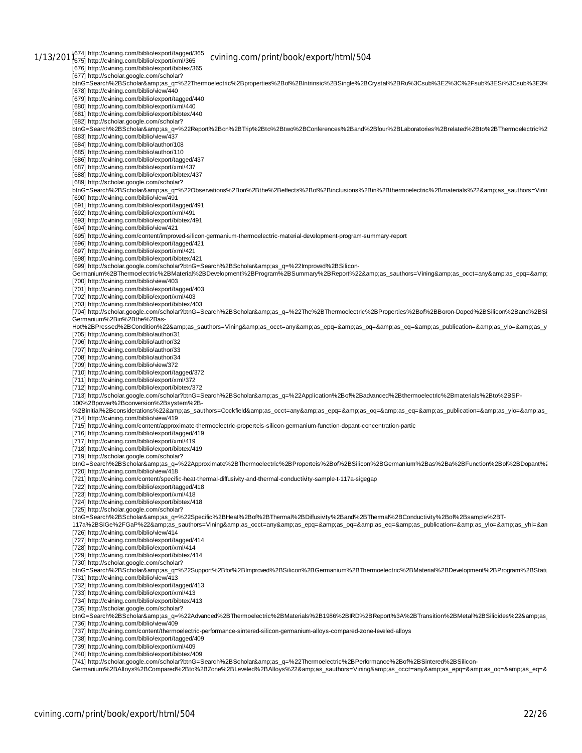1/13/201<sup>1674]</sup> http://cvining.com/biblio/export/tagged/365 cvining.com/print/book/export/html/504<br>1/13/2011<sub>675]</sub> http://cvining.com/biblio/export/xml/365 [676] http://cvining.com/biblio/export/bibtex/365 [677] http://scholar.google.com/scholar? btnG=Search%2BScholar&as\_q=%22Thermoelectric%2Bproperties%2Bof%2BIntrinsic%2BSingle%2BCrystal%2BRu%3Csub%3E2%3C%2Fsub%3ESi%3Csub%3E3%3C%2Fsub%3E%22&as\_sauthors=Allevato&as\_occt=any&as\_epq=&as\_oq=&as\_eq=&as\_publication=&as\_y [678] http://cvining.com/biblio/view/440 [679] http://cvining.com/biblio/export/tagged/440 [680] http://cvining.com/biblio/export/xml/440 [681] http://cvining.com/biblio/export/bibtex/440 [682] http://scholar.google.com/scholar?<br>btnG=Search%2BScholar&amp;as\_q=%22Report%2Bon%2BTrip%2Bto%2Btwo%2BConferences%2Band%2Bfour%2BLaboratories%2Brelated%2Bto%2BThermoelectric%2 [683] http://cvining.com/biblio/view/437 [684] http://cvining.com/biblio/author/108 [685] http://cvining.com/biblio/author/110 [686] http://cvining.com/biblio/export/tagged/437 [687] http://cvining.com/biblio/export/xml/437 [688] http://cvining.com/biblio/export/bibtex/437 [689] http://scholar.google.com/scholar? btnG=Search%2BScholar&as\_q=%22Observations%2Bon%2Bthe%2Beffects%2Bof%2Binclusions%2Bin%2Bthermoelectric%2Bmaterials%22&as\_sauthors=Vinir [690] http://cvining.com/biblio/view/491 [691] http://cvining.com/biblio/export/tagged/491 [692] http://cvining.com/biblio/export/xml/491 [693] http://cvining.com/biblio/export/bibtex/491 [694] http://cvining.com/biblio/view/421 [695] http://cvining.com/content/improved-silicon-germanium-thermoelectric-material-development-program-summary-report [696] http://cvining.com/biblio/export/tagged/421 [697] http://cvining.com/biblio/export/xml/421 [698] http://cvining.com/biblio/export/bibtex/421 [699] http://scholar.google.com/scholar?btnG=Search%2BScholar&as\_q=%22Improved%2BSilicon-Germanium%2BThermoelectric%2BMaterial%2BDevelopment%2BProgram%2BSummary%2BReport%22&as\_sauthors=Vining&as\_occt=any&as\_epq=& [700] http://cvining.com/biblio/view/403 [701] http://cvining.com/biblio/export/tagged/403 [702] http://cvining.com/biblio/export/xml/403 [703] http://cvining.com/biblio/export/bibtex/403 [704] http://scholar.google.com/scholar?btnG=Search%2BScholar&amp:as\_q=%22The%2BThermoelectric%2BProperties%2Boron-Doped%2BSilicon%2Band%2BSil Germanium%2Bin%2Bthe%2Bas-Hot%2BPressed%2BCondition%22&as\_sauthors=Vining&as\_occt=any&as\_epq=&as\_oq=&as\_eq=&as\_publication=&as\_ylo=&as\_y [705] http://cvining.com/biblio/author/31 [706] http://cvining.com/biblio/author/32 [707] http://cvining.com/biblio/author/33 [708] http://cvining.com/biblio/author/34 [709] http://cvining.com/biblio/view/372 [710] http://cvining.com/biblio/export/tagged/372 [711] http://cvining.com/biblio/export/xml/372 [712] http://cvining.com/biblio/export/bibtex/372 [713] http://scholar.google.com/scholar?btnG=Search%2BScholar&as\_q=%22Application%2Bof%2Badvanced%2Bthermoelectric%2Bmaterials%2Bto%2BSP-100%2Bpower%2Bconversion%2Bsystem%2B- %2Binitial%2Bconsiderations%22&as\_sauthors=Cockfield&as\_occt=any&as\_epq=&as\_oq=&as\_eq=&as\_publication=&as\_ylo=&as\_ [714] http://cvining.com/biblio/view/419 [715] http://cvining.com/content/approximate-thermoelectric-properteis-silicon-germanium-function-dopant-concentration-partic [716] http://cvining.com/biblio/export/tagged/419 [717] http://cvining.com/biblio/export/xml/419 [718] http://cvining.com/biblio/export/bibtex/419 [719] http://scholar.google.com/scholar? btnG=Search%2BScholar&as\_q=%22Approximate%2BThermoelectric%2BProperteis%2Bof%2BSilicon%2BGermanium%2Bas%2Ba%2BFunction%2Bof%2BDopant%2 [720] http://cvining.com/biblio/view/418 [721] http://cvining.com/content/specific-heat-thermal-diffusivity-and-thermal-conductivity-sample-t-117a-sigegap [722] http://cvining.com/biblio/export/tagged/418 [723] http://cvining.com/biblio/export/xml/418 [724] http://cvining.com/biblio/export/bibtex/418 [725] http://scholar.google.com/scholar? .<br>btnG=Search%2BScholar&amp;as\_q=%22Specific%2BHeat%2Bof%2BThermal%2BDiffusivity%2Band%2BThermal%2BConductivity%2Bof%2Bsample%2BT-117a%2BSiGe%2FGaP%22&as\_sauthors=Vining&as\_occt=any&as\_epq=&as\_oq=&as\_eq=&as\_publication=&as\_ylo=&as\_yhi=&an [726] http://cvining.com/biblio/view/414 [727] http://cvining.com/biblio/export/tagged/414 [728] http://cvining.com/biblio/export/xml/414 [729] http://cvining.com/biblio/export/bibtex/414 [730] http://scholar.google.com/scholar? btnG=Search%2BScholar&as\_q=%22Support%2Bfor%2Blmproved%2BSilicon%2BGermanium%2BThermoelectric%2BMaterial%2BDevelopment%2BProgram%2BStatu [731] http://cvining.com/biblio/view/413 [732] http://cvining.com/biblio/export/tagged/413 [733] http://cvining.com/biblio/export/xml/413 [734] http://cvining.com/biblio/export/bibtex/413 [735] http://scholar.google.com/scholar? btnG=Search%2BScholar&as\_q=%22Advanced%2BThermoelectric%2BMaterials%2B1986%2BIRD%2BReport%3A%2BTransition%2BMetal%2BSilicides%22&as [736] http://cvining.com/biblio/view/409 [737] http://cvining.com/content/thermoelectric-performance-sintered-silicon-germanium-alloys-compared-zone-leveled-alloys [738] http://cvining.com/biblio/export/tagged/409 [739] http://cvining.com/biblio/export/xml/409 [740] http://cvining.com/biblio/export/bibtex/409 [741] http://scholar.google.com/scholar?btnG=Search%2BScholar&as\_q=%22Thermoelectric%2BPerformance%2Bof%2BSintered%2BSilicon-

Germanium%2BAlloys%2BCompared%2Bto%2BZone%2BLeveled%2BAlloys%22&as\_sauthors=Vining&as\_occt=any&as\_epq=&as\_oq=&as\_eq=&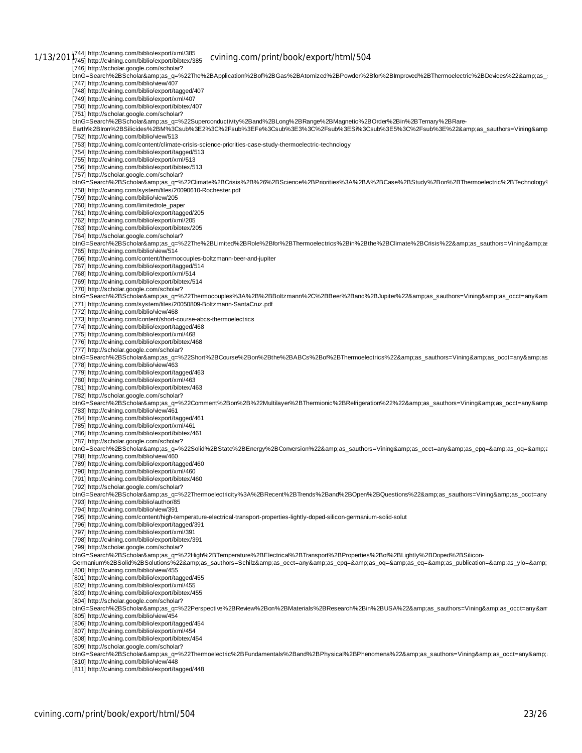1/13/201<sup>1744]</sup> http://cvining.com/biblio/export/xml/385<br>1/13/2011745] http://cvining.com/biblio/export/bibtex/385 cv**ining.com/print/book/export/html/504** [746] http://scholar.google.com/scholar? btnG=Search%2BScholar&amp:as\_q=%22The%2BApplication%2Bof%2BGas%2BAtomized%2BPowder%2Bfor%2BImproved%2BThermoelectric%2BDevices%22&amp:as\_ [747] http://cvining.com/biblio/view/407 [748] http://cvining.com/biblio/export/tagged/407 [749] http://cvining.com/biblio/export/xml/407 [750] http://cvining.com/biblio/export/bibtex/407 [751] http://scholar.google.com/scholar? btnG=Search%2BScholar&as\_q=%22Superconductivity%2Band%2BLong%2BRange%2BMagnetic%2BOrder%2Bin%2BTernary%2BRare-<br>Earth%2BIron%2BSilicides%2BM%3Csub%3E2%3C%2Fsub%3EFe%3Csub%3E3%3C%2Fsub%3ESi%3Csub%3E5%3C%2Fsub%3E%22&amp;a [752] http://cvining.com/biblio/view/513 [753] http://cvining.com/content/climate-crisis-science-priorities-case-study-thermoelectric-technology [754] http://cvining.com/biblio/export/tagged/513 [755] http://cvining.com/biblio/export/xml/513 [756] http://cvining.com/biblio/export/bibtex/513 [757] http://scholar.google.com/scholar? btnG=Search%2BScholar&as\_q=%22Climate%2BCrisis%2B%26%2BScience%2BPriorities%3A%2BA%2BCase%2BStudy%2Bon%2BThermoelectric%2BTechnology% [758] http://cvining.com/system/files/20090610-Rochester.pdf [759] http://cvining.com/biblio/view/205 [760] http://cvining.com/limitedrole\_paper [761] http://cvining.com/biblio/export/tagged/205 [762] http://cvining.com/biblio/export/xml/205 [763] http://cvining.com/biblio/export/bibtex/205 [764] http://scholar.google.com/scholar? btnG=Search%2BScholar&as\_q=%22The%2BLimited%2BRole%2Bfor%2BThermoelectrics%2Bin%2Bthe%2BClimate%2BCrisis%22&as\_sauthors=Vining&as [765] http://cvining.com/biblio/view/514 [766] http://cvining.com/content/thermocouples-boltzmann-beer-and-jupiter [767] http://cvining.com/biblio/export/tagged/514 [768] http://cvining.com/biblio/export/xml/514 [769] http://cvining.com/biblio/export/bibtex/514 [770] http://scholar.google.com/scholar? btnG=Search%2BScholar&as\_q=%22Thermocouples%3A%2B%2BBoltzmann%2C%2BBeer%2Band%2BJupiter%22&as\_sauthors=Vining&as\_occt=any&am [771] http://cvining.com/system/files/20050809-Boltzmann-SantaCruz.pdf [772] http://cvining.com/biblio/view/468 [773] http://cvining.com/content/short-course-abcs-thermoelectrics [774] http://cvining.com/biblio/export/tagged/468 [775] http://cvining.com/biblio/export/xml/468 [776] http://cvining.com/biblio/export/bibtex/468 [777] http://scholar.google.com/scholar?<br>btnG=Search%2BScholar&amp;as\_q=%22Short%2BCourse%2Bon%2Bthe%2BABCs%2Bof%2BThermoelectrics%22&amp;as\_sauthors=Vining&amp;as\_occt=any&amp;as [778] http://cvining.com/biblio/view/463 [779] http://cvining.com/biblio/export/tagged/463 [780] http://cvining.com/biblio/export/xml/463 [781] http://cvining.com/biblio/export/bibtex/463 [782] http://scholar.google.com/scholar? btnG=Search%2BScholar&as\_q=%22Comment%2Bon%2B%22Multilayer%2BThermionic%2BRefrigeration%22%22&as\_sauthors=Vining&as\_occt=any&amp [783] http://cvining.com/biblio/view/461 [784] http://cvining.com/biblio/export/tagged/461 [785] http://cvining.com/biblio/export/xml/461 [786] http://cvining.com/biblio/export/bibtex/461 [787] http://scholar.google.com/scholar? btnG=Search%2BScholar&as\_q=%22Solid%2BState%2BEnergy%2BConversion%22&as\_sauthors=Vining&as\_occt=any&as\_epq=&as\_oq=&a [788] http://cvining.com/biblio/view/460 [789] http://cvining.com/biblio/export/tagged/460 [790] http://cvining.com/biblio/export/xml/460 [791] http://cvining.com/biblio/export/bibtex/460 [792] http://scholar.google.com/scholar? btnG=Search%2BScholar&as\_q=%22Thermoelectricity%3A%2BRecent%2BTrends%2Band%2BOpen%2BQuestions%22&as\_sauthors=Vining&as\_occt=any [793] http://cvining.com/biblio/author/85 [794] http://cvining.com/biblio/view/391 [795] http://cvining.com/content/high-temperature-electrical-transport-properties-lightly-doped-silicon-germanium-solid-solut [796] http://cvining.com/biblio/export/tagged/391 [797] http://cvining.com/biblio/export/xml/391 [798] http://cvining.com/biblio/export/bibtex/391 [799] http://scholar.google.com/scholar? btnG=Search%2BScholar&as\_q=%22High%2BTemperature%2BElectrical%2BTransport%2BProperties%2Bof%2BLightly%2BDoped%2BSilicon-Germanium%2BSolid%2BSolutions%22&as sauthors=Schilz&as occt=any&as epq=&as oq=&as eq=&as publication=&as ylo=& [800] http://cvining.com/biblio/view/455 [801] http://cvining.com/biblio/export/tagged/455 [802] http://cvining.com/biblio/export/xml/455 [803] http://cvining.com/biblio/export/bibtex/455 [804] http://scholar.google.com/scholar?<br>btnG=Search%2BScholar&amp;as\_q=%22Perspective%2BReview%2Bon%2BMaterials%2BResearch%2Bin%2BUSA%22&amp;as\_sauthors=Vining&amp;as\_occt=any&am [805] http://cvining.com/biblio/view/454 [806] http://cvining.com/biblio/export/tagged/454 [807] http://cvining.com/biblio/export/xml/454 [808] http://cvining.com/biblio/export/bibtex/454 [809] http://scholar.google.com/scholar? btnG=Search%2BScholar&amp:as\_q=%22Thermoelectric%2BFundamentals%2Band%2BPhysical%2BPhenomena%22&amp:as\_sauthors=Vining&amp:as\_occt=any&amp: [810] http://cvining.com/biblio/view/448 [811] http://cvining.com/biblio/export/tagged/448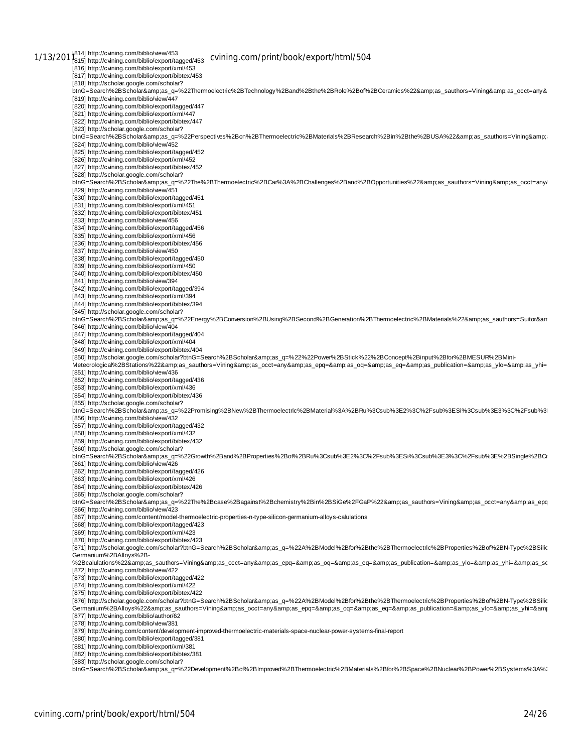1/13/201<sup>814]</sup> http://cvining.com/biblio/view/453<br>1/13/201<sup>814]</sup> http://cvining.com/biblio/export/tagged/453 CV**ining.com/print/book/export/html/504** [816] http://cvining.com/biblio/export/xml/453 [817] http://cvining.com/biblio/export/bibtex/453 [818] http://scholar.google.com/scholar? btnG=Search%2BScholar&as\_q=%22Thermoelectric%2BTechnology%2Band%2Bthe%2BRole%2Bof%2BCeramics%22&as\_sauthors=Vining&as\_occt=any& [819] http://cvining.com/biblio/view/447 [820] http://cvining.com/biblio/export/tagged/447 [821] http://cvining.com/biblio/export/xml/447 [822] http://cvining.com/biblio/export/bibtex/447 [823] http://scholar.google.com/scholar? btnG=Search%2BScholar&as\_q=%22Perspectives%2Bon%2BThermoelectric%2BMaterials%2BResearch%2Bin%2Bthe%2BUSA%22&as\_sauthors=Vining&a [824] http://cvining.com/biblio/view/452 [825] http://cvining.com/biblio/export/tagged/452 [826] http://cvining.com/biblio/export/xml/452 [827] http://cvining.com/biblio/export/bibtex/452 [828] http://scholar.google.com/scholar? btnG=Search%2BScholar&as\_q=%22The%2BThermoelectric%2BCar%3A%2BChallenges%2Band%2BOpportunities%22&as\_sauthors=Vining&as\_occt=any/ [829] http://cvining.com/biblio/view/451 [830] http://cvining.com/biblio/export/tagged/451 [831] http://cvining.com/biblio/export/xml/451 [832] http://cvining.com/biblio/export/bibtex/451 [833] http://cvining.com/biblio/view/456 [834] http://cvining.com/biblio/export/tagged/456 [835] http://cvining.com/biblio/export/xml/456 [836] http://cvining.com/biblio/export/bibtex/456 [837] http://cvining.com/biblio/view/450 [838] http://cvining.com/biblio/export/tagged/450 [839] http://cvining.com/biblio/export/xml/450 [840] http://cvining.com/biblio/export/bibtex/450 [841] http://cvining.com/biblio/view/394 [842] http://cvining.com/biblio/export/tagged/394 [843] http://cvining.com/biblio/export/xml/394 [844] http://cvining.com/biblio/export/bibtex/394 [845] http://scholar.google.com/scholar? btnG=Search%2BScholar&as\_q=%22Energy%2BConversion%2BUsing%2BSecond%2BGeneration%2BThermoelectric%2BMaterials%22&as\_sauthors=Suitor&an [846] http://cvining.com/biblio/view/404 [847] http://cvining.com/biblio/export/tagged/404 [848] http://cvining.com/biblio/export/xml/404 [849] http://cvining.com/biblio/export/bibtex/404 [850] http://scholar.google.com/scholar?btnG=Search%2BScholar&as\_q=%22%22Power%2BStick%22%2BConcept%2Binput%2Bfor%2BMESUR%2BMini-Teedymphiles<br>Meteorological%2BStations%22&amp;as\_sauthors=Vining&amp;as\_occt=any&amp;as\_epq=&amp;as\_oq=&amp;as\_eq=&amp;as\_publication=&amp;as\_ylo=&amp;as\_yhi= [851] http://cvining.com/biblio/view/436 [852] http://cvining.com/biblio/export/tagged/436 [853] http://cvining.com/biblio/export/xml/436 [854] http://cvining.com/biblio/export/bibtex/436 [855] http://scholar.google.com/scholar? btnG=Search%2BScholar&as\_q=%22Promising%2BNew%2BThermoelectric%2BMaterial%3A%2BRu%3Csub%3E2%3C%2Fsub%3ESi%3Csub%3E3%3C%2Fsub%3l [856] http://cvining.com/biblio/view/432 [857] http://cvining.com/biblio/export/tagged/432 [858] http://cvining.com/biblio/export/xml/432 [859] http://cvining.com/biblio/export/bibtex/432 [860] http://scholar.google.com/scholar? btnG=Search%2BScholar&as\_q=%22Growth%2Band%2BProperties%2Bof%2BRu%3Csub%3E2%3C%2Fsub%3E3%3Csub%3E3%3C%2Fsub%3E%2BSingle%2BCr [861] http://cvining.com/biblio/view/426 [862] http://cvining.com/biblio/export/tagged/426 [863] http://cvining.com/biblio/export/xml/426 [864] http://cvining.com/biblio/export/bibtex/426 [865] http://scholar.google.com/scholar? .<br>btnG=Search%2BScholar&amp;as\_q=%22The%2Bcase%2Bagainst%2Bchemistry%2Bin%2BSiGe%2FGaP%22&amp;as\_sauthors=Vining&amp;as\_occt=any&amp;as\_epq [866] http://cvining.com/biblio/view/423 [867] http://cvining.com/content/model-thermoelectric-properties-n-type-silicon-germanium-alloys-calulations [868] http://cvining.com/biblio/export/tagged/423 [869] http://cvining.com/biblio/export/xml/423 [870] http://cvining.com/biblio/export/bibtex/423 [871] http://scholar.google.com/scholar?btnG=Search%2BScholar&as\_q=%22A%2BModel%2Bfor%2Bthe%2BThermoelectric%2BProperties%2Bof%2BN-Type%2BSilic Germanium%2BAlloys%2B- %2Bcalulations%22&as sauthors=Vining&as occt=any&as epq=&as oq=&as eq=&as publication=&as ylo=&as yhi=&as sc [872] http://cvining.com/biblio/view/422 [873] http://cvining.com/biblio/export/tagged/422 [874] http://cvining.com/biblio/export/xml/422 [875] http://cvining.com/biblio/export/bibtex/422 [876] http://scholar.google.com/scholar?btnG=Search%2BScholar&as\_q=%22A%2BModel%2Bfor%2Bthe%2BThermoelectric%2BProperties%2Bof%2BN-Type%2BSilic<br>Germanium%2BAlloys%22&amp;as\_sauthors=Vining&amp;as\_occt=any&amp;as\_epq=&a [877] http://cvining.com/biblio/author/62 [878] http://cvining.com/biblio/view/381 [879] http://cvining.com/content/development-improved-thermoelectric-materials-space-nuclear-power-systems-final-report [880] http://cvining.com/biblio/export/tagged/381 [881] http://cvining.com/biblio/export/xml/381 [882] http://cvining.com/biblio/export/bibtex/381 [883] http://scholar.google.com/scholar?

btnG=Search%2BScholar&as\_q=%22Development%2Bof%2BImproved%2BThermoelectric%2BMaterials%2Bfor%2BSpace%2BNuclear%2BPower%2BSystems%3A%2